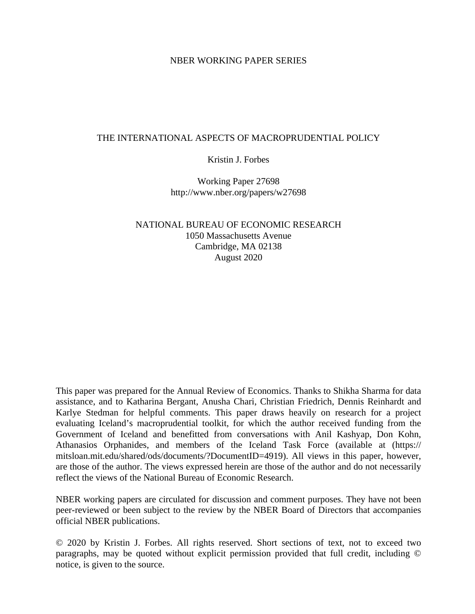## NBER WORKING PAPER SERIES

# THE INTERNATIONAL ASPECTS OF MACROPRUDENTIAL POLICY

## Kristin J. Forbes

Working Paper 27698 http://www.nber.org/papers/w27698

# NATIONAL BUREAU OF ECONOMIC RESEARCH 1050 Massachusetts Avenue Cambridge, MA 02138 August 2020

This paper was prepared for the Annual Review of Economics. Thanks to Shikha Sharma for data assistance, and to Katharina Bergant, Anusha Chari, Christian Friedrich, Dennis Reinhardt and Karlye Stedman for helpful comments. This paper draws heavily on research for a project evaluating Iceland's macroprudential toolkit, for which the author received funding from the Government of Iceland and benefitted from conversations with Anil Kashyap, Don Kohn, Athanasios Orphanides, and members of the Iceland Task Force (available at (https:// mitsloan.mit.edu/shared/ods/documents/?DocumentID=4919). All views in this paper, however, are those of the author. The views expressed herein are those of the author and do not necessarily reflect the views of the National Bureau of Economic Research.

NBER working papers are circulated for discussion and comment purposes. They have not been peer-reviewed or been subject to the review by the NBER Board of Directors that accompanies official NBER publications.

© 2020 by Kristin J. Forbes. All rights reserved. Short sections of text, not to exceed two paragraphs, may be quoted without explicit permission provided that full credit, including © notice, is given to the source.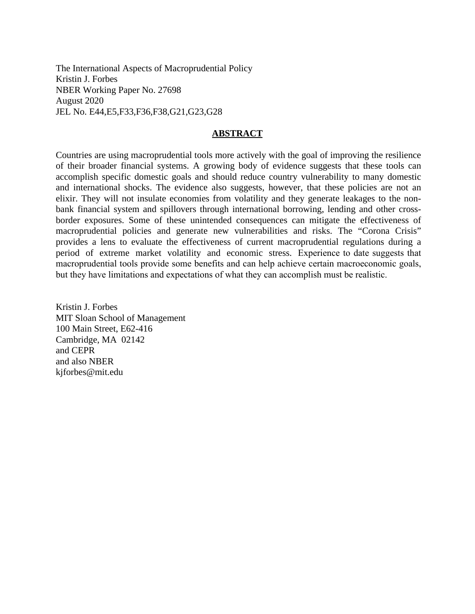The International Aspects of Macroprudential Policy Kristin J. Forbes NBER Working Paper No. 27698 August 2020 JEL No. E44,E5,F33,F36,F38,G21,G23,G28

## **ABSTRACT**

Countries are using macroprudential tools more actively with the goal of improving the resilience of their broader financial systems. A growing body of evidence suggests that these tools can accomplish specific domestic goals and should reduce country vulnerability to many domestic and international shocks. The evidence also suggests, however, that these policies are not an elixir. They will not insulate economies from volatility and they generate leakages to the nonbank financial system and spillovers through international borrowing, lending and other crossborder exposures. Some of these unintended consequences can mitigate the effectiveness of macroprudential policies and generate new vulnerabilities and risks. The "Corona Crisis" provides a lens to evaluate the effectiveness of current macroprudential regulations during a period of extreme market volatility and economic stress. Experience to date suggests that macroprudential tools provide some benefits and can help achieve certain macroeconomic goals, but they have limitations and expectations of what they can accomplish must be realistic.

Kristin J. Forbes MIT Sloan School of Management 100 Main Street, E62-416 Cambridge, MA 02142 and CEPR and also NBER kjforbes@mit.edu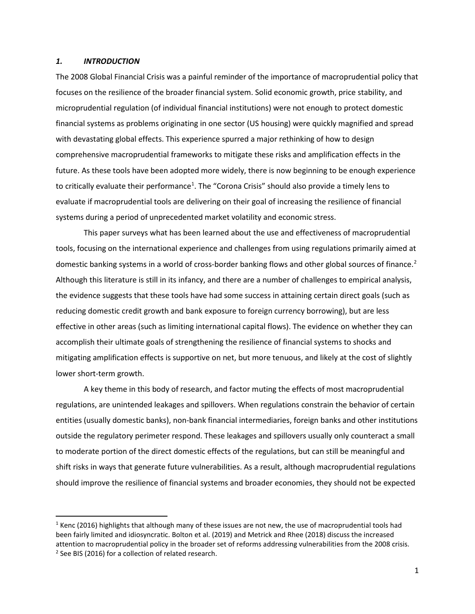### *1. INTRODUCTION*

The 2008 Global Financial Crisis was a painful reminder of the importance of macroprudential policy that focuses on the resilience of the broader financial system. Solid economic growth, price stability, and microprudential regulation (of individual financial institutions) were not enough to protect domestic financial systems as problems originating in one sector (US housing) were quickly magnified and spread with devastating global effects. This experience spurred a major rethinking of how to design comprehensive macroprudential frameworks to mitigate these risks and amplification effects in the future. As these tools have been adopted more widely, there is now beginning to be enough experience to critically evaluate their performance<sup>[1](#page-2-0)</sup>. The "Corona Crisis" should also provide a timely lens to evaluate if macroprudential tools are delivering on their goal of increasing the resilience of financial systems during a period of unprecedented market volatility and economic stress.

This paper surveys what has been learned about the use and effectiveness of macroprudential tools, focusing on the international experience and challenges from using regulations primarily aimed at domestic banking systems in a world of cross-border banking flows and other global sources of finance.<sup>[2](#page-2-1)</sup> Although this literature is still in its infancy, and there are a number of challenges to empirical analysis, the evidence suggests that these tools have had some success in attaining certain direct goals (such as reducing domestic credit growth and bank exposure to foreign currency borrowing), but are less effective in other areas (such as limiting international capital flows). The evidence on whether they can accomplish their ultimate goals of strengthening the resilience of financial systems to shocks and mitigating amplification effects is supportive on net, but more tenuous, and likely at the cost of slightly lower short-term growth.

A key theme in this body of research, and factor muting the effects of most macroprudential regulations, are unintended leakages and spillovers. When regulations constrain the behavior of certain entities (usually domestic banks), non-bank financial intermediaries, foreign banks and other institutions outside the regulatory perimeter respond. These leakages and spillovers usually only counteract a small to moderate portion of the direct domestic effects of the regulations, but can still be meaningful and shift risks in ways that generate future vulnerabilities. As a result, although macroprudential regulations should improve the resilience of financial systems and broader economies, they should not be expected

<span id="page-2-1"></span><span id="page-2-0"></span> $1$  Kenc (2016) highlights that although many of these issues are not new, the use of macroprudential tools had been fairly limited and idiosyncratic. Bolton et al. (2019) and Metrick and Rhee (2018) discuss the increased attention to macroprudential policy in the broader set of reforms addressing vulnerabilities from the 2008 crisis. <sup>2</sup> See BIS (2016) for a collection of related research.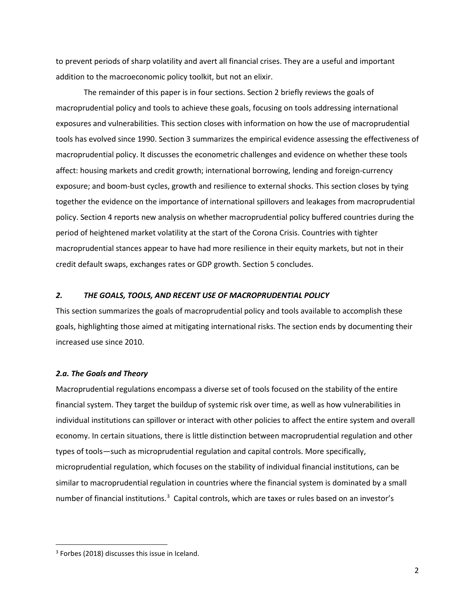to prevent periods of sharp volatility and avert all financial crises. They are a useful and important addition to the macroeconomic policy toolkit, but not an elixir.

The remainder of this paper is in four sections. Section 2 briefly reviews the goals of macroprudential policy and tools to achieve these goals, focusing on tools addressing international exposures and vulnerabilities. This section closes with information on how the use of macroprudential tools has evolved since 1990. Section 3 summarizes the empirical evidence assessing the effectiveness of macroprudential policy. It discusses the econometric challenges and evidence on whether these tools affect: housing markets and credit growth; international borrowing, lending and foreign-currency exposure; and boom-bust cycles, growth and resilience to external shocks. This section closes by tying together the evidence on the importance of international spillovers and leakages from macroprudential policy. Section 4 reports new analysis on whether macroprudential policy buffered countries during the period of heightened market volatility at the start of the Corona Crisis. Countries with tighter macroprudential stances appear to have had more resilience in their equity markets, but not in their credit default swaps, exchanges rates or GDP growth. Section 5 concludes.

### *2. THE GOALS, TOOLS, AND RECENT USE OF MACROPRUDENTIAL POLICY*

This section summarizes the goals of macroprudential policy and tools available to accomplish these goals, highlighting those aimed at mitigating international risks. The section ends by documenting their increased use since 2010.

#### *2.a. The Goals and Theory*

Macroprudential regulations encompass a diverse set of tools focused on the stability of the entire financial system. They target the buildup of systemic risk over time, as well as how vulnerabilities in individual institutions can spillover or interact with other policies to affect the entire system and overall economy. In certain situations, there is little distinction between macroprudential regulation and other types of tools—such as microprudential regulation and capital controls. More specifically, microprudential regulation, which focuses on the stability of individual financial institutions, can be similar to macroprudential regulation in countries where the financial system is dominated by a small number of financial institutions.<sup>[3](#page-3-0)</sup> Capital controls, which are taxes or rules based on an investor's

l

<span id="page-3-0"></span><sup>3</sup> Forbes (2018) discusses this issue in Iceland.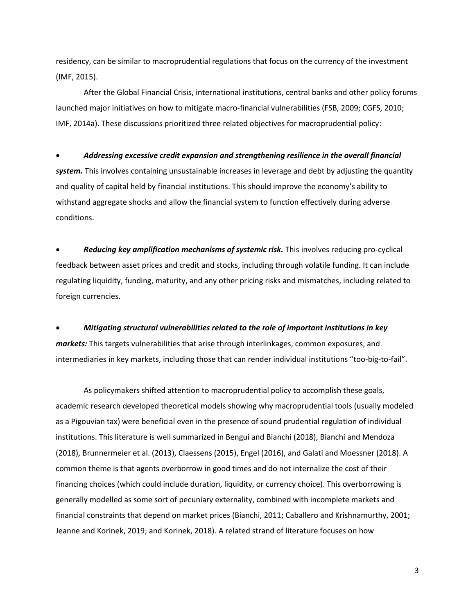residency, can be similar to macroprudential regulations that focus on the currency of the investment (IMF, 2015).

After the Global Financial Crisis, international institutions, central banks and other policy forums launched major initiatives on how to mitigate macro-financial vulnerabilities (FSB, 2009; CGFS, 2010; IMF, 2014a). These discussions prioritized three related objectives for macroprudential policy:

#### • *Addressing excessive credit expansion and strengthening resilience in the overall financial*

*system.* This involves containing unsustainable increases in leverage and debt by adjusting the quantity and quality of capital held by financial institutions. This should improve the economy's ability to withstand aggregate shocks and allow the financial system to function effectively during adverse conditions.

• *Reducing key amplification mechanisms of systemic risk.* This involves reducing pro-cyclical feedback between asset prices and credit and stocks, including through volatile funding. It can include regulating liquidity, funding, maturity, and any other pricing risks and mismatches, including related to foreign currencies.

• *Mitigating structural vulnerabilities related to the role of important institutions in key markets:* This targets vulnerabilities that arise through interlinkages, common exposures, and intermediaries in key markets, including those that can render individual institutions "too-big-to-fail".

As policymakers shifted attention to macroprudential policy to accomplish these goals, academic research developed theoretical models showing why macroprudential tools (usually modeled as a Pigouvian tax) were beneficial even in the presence of sound prudential regulation of individual institutions. This literature is well summarized in Bengui and Bianchi (2018), Bianchi and Mendoza (2018), Brunnermeier et al. (2013), Claessens (2015), Engel (2016), and Galati and Moessner (2018). A common theme is that agents overborrow in good times and do not internalize the cost of their financing choices (which could include duration, liquidity, or currency choice). This overborrowing is generally modelled as some sort of pecuniary externality, combined with incomplete markets and financial constraints that depend on market prices (Bianchi, 2011; Caballero and Krishnamurthy, 2001; Jeanne and Korinek, 2019; and Korinek, 2018). A related strand of literature focuses on how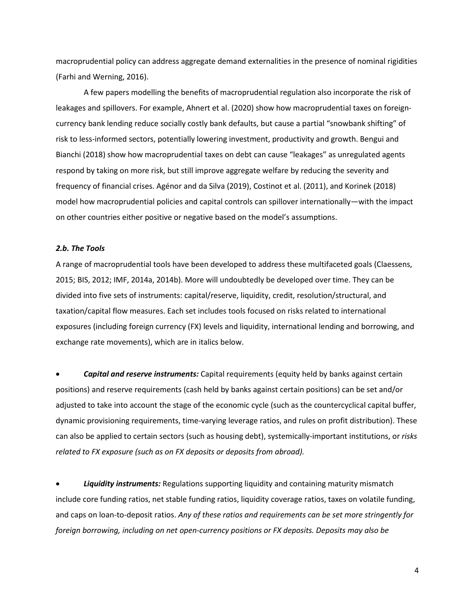macroprudential policy can address aggregate demand externalities in the presence of nominal rigidities (Farhi and Werning, 2016).

A few papers modelling the benefits of macroprudential regulation also incorporate the risk of leakages and spillovers. For example, Ahnert et al. (2020) show how macroprudential taxes on foreigncurrency bank lending reduce socially costly bank defaults, but cause a partial "snowbank shifting" of risk to less-informed sectors, potentially lowering investment, productivity and growth. Bengui and Bianchi (2018) show how macroprudential taxes on debt can cause "leakages" as unregulated agents respond by taking on more risk, but still improve aggregate welfare by reducing the severity and frequency of financial crises. Agénor and da Silva (2019), Costinot et al. (2011), and Korinek (2018) model how macroprudential policies and capital controls can spillover internationally—with the impact on other countries either positive or negative based on the model's assumptions.

## *2.b. The Tools*

A range of macroprudential tools have been developed to address these multifaceted goals (Claessens, 2015; BIS, 2012; IMF, 2014a, 2014b). More will undoubtedly be developed over time. They can be divided into five sets of instruments: capital/reserve, liquidity, credit, resolution/structural, and taxation/capital flow measures. Each set includes tools focused on risks related to international exposures (including foreign currency (FX) levels and liquidity, international lending and borrowing, and exchange rate movements), which are in italics below.

• *Capital and reserve instruments:* Capital requirements (equity held by banks against certain positions) and reserve requirements (cash held by banks against certain positions) can be set and/or adjusted to take into account the stage of the economic cycle (such as the countercyclical capital buffer, dynamic provisioning requirements, time-varying leverage ratios, and rules on profit distribution). These can also be applied to certain sectors (such as housing debt), systemically-important institutions, or *risks related to FX exposure (such as on FX deposits or deposits from abroad).*

• *Liquidity instruments:* Regulations supporting liquidity and containing maturity mismatch include core funding ratios, net stable funding ratios, liquidity coverage ratios, taxes on volatile funding, and caps on loan-to-deposit ratios. *Any of these ratios and requirements can be set more stringently for foreign borrowing, including on net open-currency positions or FX deposits. Deposits may also be* 

4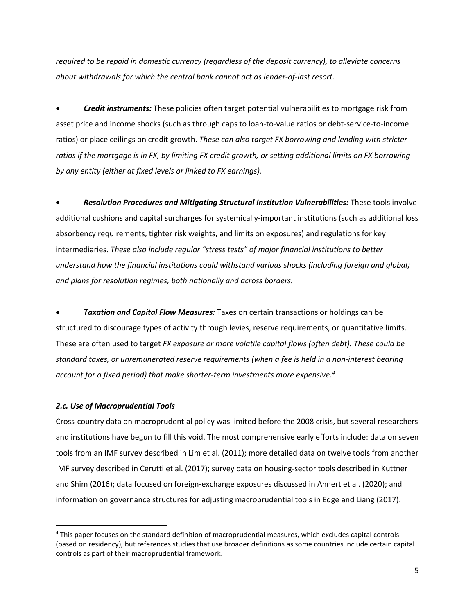*required to be repaid in domestic currency (regardless of the deposit currency), to alleviate concerns about withdrawals for which the central bank cannot act as lender-of-last resort.*

• *Credit instruments:* These policies often target potential vulnerabilities to mortgage risk from asset price and income shocks (such as through caps to loan-to-value ratios or debt-service-to-income ratios) or place ceilings on credit growth. *These can also target FX borrowing and lending with stricter ratios if the mortgage is in FX, by limiting FX credit growth, or setting additional limits on FX borrowing by any entity (either at fixed levels or linked to FX earnings).* 

• *Resolution Procedures and Mitigating Structural Institution Vulnerabilities:* These tools involve additional cushions and capital surcharges for systemically-important institutions (such as additional loss absorbency requirements, tighter risk weights, and limits on exposures) and regulations for key intermediaries. *These also include regular "stress tests" of major financial institutions to better understand how the financial institutions could withstand various shocks (including foreign and global) and plans for resolution regimes, both nationally and across borders.* 

• *Taxation and Capital Flow Measures:* Taxes on certain transactions or holdings can be structured to discourage types of activity through levies, reserve requirements, or quantitative limits. These are often used to target *FX exposure or more volatile capital flows (often debt). These could be standard taxes, or unremunerated reserve requirements (when a fee is held in a non-interest bearing account for a fixed period) that make shorter-term investments more expensive. [4](#page-6-0)* 

### *2.c. Use of Macroprudential Tools*

l

Cross-country data on macroprudential policy was limited before the 2008 crisis, but several researchers and institutions have begun to fill this void. The most comprehensive early efforts include: data on seven tools from an IMF survey described in Lim et al. (2011); more detailed data on twelve tools from another IMF survey described in Cerutti et al. (2017); survey data on housing-sector tools described in Kuttner and Shim (2016); data focused on foreign-exchange exposures discussed in Ahnert et al. (2020); and information on governance structures for adjusting macroprudential tools in Edge and Liang (2017).

<span id="page-6-0"></span><sup>4</sup> This paper focuses on the standard definition of macroprudential measures, which excludes capital controls (based on residency), but references studies that use broader definitions as some countries include certain capital controls as part of their macroprudential framework.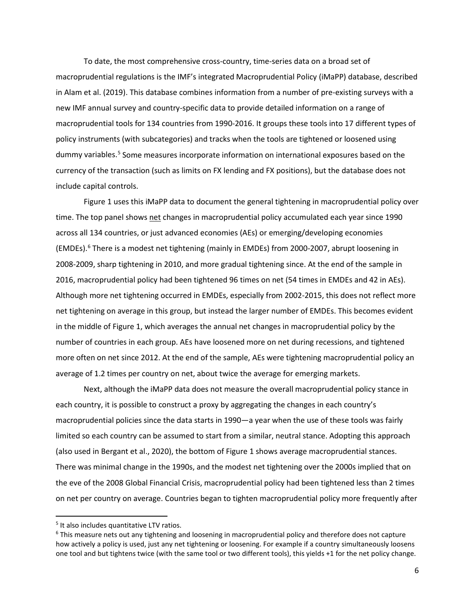To date, the most comprehensive cross-country, time-series data on a broad set of macroprudential regulations is the IMF's integrated Macroprudential Policy (iMaPP) database, described in Alam et al. (2019). This database combines information from a number of pre-existing surveys with a new IMF annual survey and country-specific data to provide detailed information on a range of macroprudential tools for 134 countries from 1990-2016. It groups these tools into 17 different types of policy instruments (with subcategories) and tracks when the tools are tightened or loosened using dummy variables.[5](#page-7-0) Some measures incorporate information on international exposures based on the currency of the transaction (such as limits on FX lending and FX positions), but the database does not include capital controls.

Figure 1 uses this iMaPP data to document the general tightening in macroprudential policy over time. The top panel shows net changes in macroprudential policy accumulated each year since 1990 across all 134 countries, or just advanced economies (AEs) or emerging/developing economies (EMDEs).[6](#page-7-1) There is a modest net tightening (mainly in EMDEs) from 2000-2007, abrupt loosening in 2008-2009, sharp tightening in 2010, and more gradual tightening since. At the end of the sample in 2016, macroprudential policy had been tightened 96 times on net (54 times in EMDEs and 42 in AEs). Although more net tightening occurred in EMDEs, especially from 2002-2015, this does not reflect more net tightening on average in this group, but instead the larger number of EMDEs. This becomes evident in the middle of Figure 1, which averages the annual net changes in macroprudential policy by the number of countries in each group. AEs have loosened more on net during recessions, and tightened more often on net since 2012. At the end of the sample, AEs were tightening macroprudential policy an average of 1.2 times per country on net, about twice the average for emerging markets.

Next, although the iMaPP data does not measure the overall macroprudential policy stance in each country, it is possible to construct a proxy by aggregating the changes in each country's macroprudential policies since the data starts in 1990—a year when the use of these tools was fairly limited so each country can be assumed to start from a similar, neutral stance. Adopting this approach (also used in Bergant et al., 2020), the bottom of Figure 1 shows average macroprudential stances. There was minimal change in the 1990s, and the modest net tightening over the 2000s implied that on the eve of the 2008 Global Financial Crisis, macroprudential policy had been tightened less than 2 times on net per country on average. Countries began to tighten macroprudential policy more frequently after

 $\overline{\phantom{a}}$ 

<span id="page-7-0"></span><sup>&</sup>lt;sup>5</sup> It also includes quantitative LTV ratios.

<span id="page-7-1"></span><sup>6</sup> This measure nets out any tightening and loosening in macroprudential policy and therefore does not capture how actively a policy is used, just any net tightening or loosening. For example if a country simultaneously loosens one tool and but tightens twice (with the same tool or two different tools), this yields +1 for the net policy change.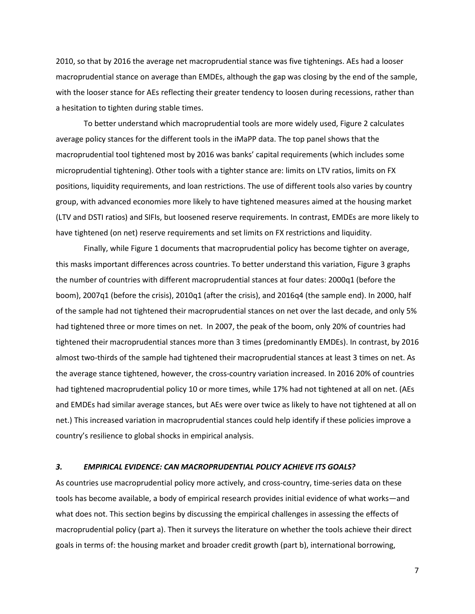2010, so that by 2016 the average net macroprudential stance was five tightenings. AEs had a looser macroprudential stance on average than EMDEs, although the gap was closing by the end of the sample, with the looser stance for AEs reflecting their greater tendency to loosen during recessions, rather than a hesitation to tighten during stable times.

To better understand which macroprudential tools are more widely used, Figure 2 calculates average policy stances for the different tools in the iMaPP data. The top panel shows that the macroprudential tool tightened most by 2016 was banks' capital requirements (which includes some microprudential tightening). Other tools with a tighter stance are: limits on LTV ratios, limits on FX positions, liquidity requirements, and loan restrictions. The use of different tools also varies by country group, with advanced economies more likely to have tightened measures aimed at the housing market (LTV and DSTI ratios) and SIFIs, but loosened reserve requirements. In contrast, EMDEs are more likely to have tightened (on net) reserve requirements and set limits on FX restrictions and liquidity.

Finally, while Figure 1 documents that macroprudential policy has become tighter on average, this masks important differences across countries. To better understand this variation, Figure 3 graphs the number of countries with different macroprudential stances at four dates: 2000q1 (before the boom), 2007q1 (before the crisis), 2010q1 (after the crisis), and 2016q4 (the sample end). In 2000, half of the sample had not tightened their macroprudential stances on net over the last decade, and only 5% had tightened three or more times on net. In 2007, the peak of the boom, only 20% of countries had tightened their macroprudential stances more than 3 times (predominantly EMDEs). In contrast, by 2016 almost two-thirds of the sample had tightened their macroprudential stances at least 3 times on net. As the average stance tightened, however, the cross-country variation increased. In 2016 20% of countries had tightened macroprudential policy 10 or more times, while 17% had not tightened at all on net. (AEs and EMDEs had similar average stances, but AEs were over twice as likely to have not tightened at all on net.) This increased variation in macroprudential stances could help identify if these policies improve a country's resilience to global shocks in empirical analysis.

### *3. EMPIRICAL EVIDENCE: CAN MACROPRUDENTIAL POLICY ACHIEVE ITS GOALS?*

As countries use macroprudential policy more actively, and cross-country, time-series data on these tools has become available, a body of empirical research provides initial evidence of what works—and what does not. This section begins by discussing the empirical challenges in assessing the effects of macroprudential policy (part a). Then it surveys the literature on whether the tools achieve their direct goals in terms of: the housing market and broader credit growth (part b), international borrowing,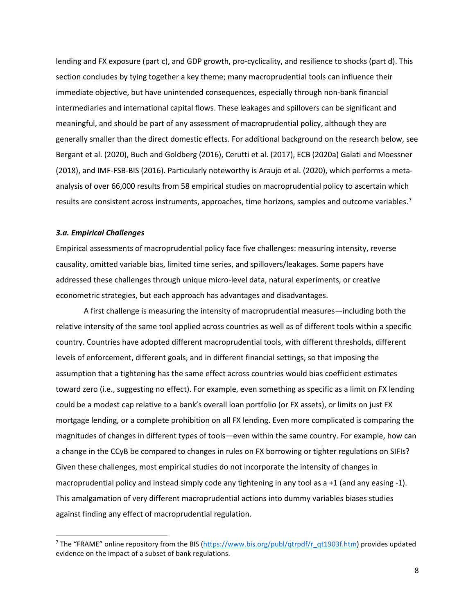lending and FX exposure (part c), and GDP growth, pro-cyclicality, and resilience to shocks (part d). This section concludes by tying together a key theme; many macroprudential tools can influence their immediate objective, but have unintended consequences, especially through non-bank financial intermediaries and international capital flows. These leakages and spillovers can be significant and meaningful, and should be part of any assessment of macroprudential policy, although they are generally smaller than the direct domestic effects. For additional background on the research below, see Bergant et al. (2020), Buch and Goldberg (2016), Cerutti et al. (2017), ECB (2020a) Galati and Moessner (2018), and IMF-FSB-BIS (2016). Particularly noteworthy is Araujo et al. (2020), which performs a metaanalysis of over 66,000 results from 58 empirical studies on macroprudential policy to ascertain which results are consistent across instruments, approaches, time horizons, samples and outcome variables.<sup>[7](#page-9-0)</sup>

### *3.a. Empirical Challenges*

 $\overline{a}$ 

Empirical assessments of macroprudential policy face five challenges: measuring intensity, reverse causality, omitted variable bias, limited time series, and spillovers/leakages. Some papers have addressed these challenges through unique micro-level data, natural experiments, or creative econometric strategies, but each approach has advantages and disadvantages.

A first challenge is measuring the intensity of macroprudential measures—including both the relative intensity of the same tool applied across countries as well as of different tools within a specific country. Countries have adopted different macroprudential tools, with different thresholds, different levels of enforcement, different goals, and in different financial settings, so that imposing the assumption that a tightening has the same effect across countries would bias coefficient estimates toward zero (i.e., suggesting no effect). For example, even something as specific as a limit on FX lending could be a modest cap relative to a bank's overall loan portfolio (or FX assets), or limits on just FX mortgage lending, or a complete prohibition on all FX lending. Even more complicated is comparing the magnitudes of changes in different types of tools—even within the same country. For example, how can a change in the CCyB be compared to changes in rules on FX borrowing or tighter regulations on SIFIs? Given these challenges, most empirical studies do not incorporate the intensity of changes in macroprudential policy and instead simply code any tightening in any tool as a +1 (and any easing -1). This amalgamation of very different macroprudential actions into dummy variables biases studies against finding any effect of macroprudential regulation.

<span id="page-9-0"></span><sup>&</sup>lt;sup>7</sup> The "FRAME" online repository from the BIS [\(https://www.bis.org/publ/qtrpdf/r\\_qt1903f.htm\)](https://www.bis.org/publ/qtrpdf/r_qt1903f.htm) provides updated evidence on the impact of a subset of bank regulations.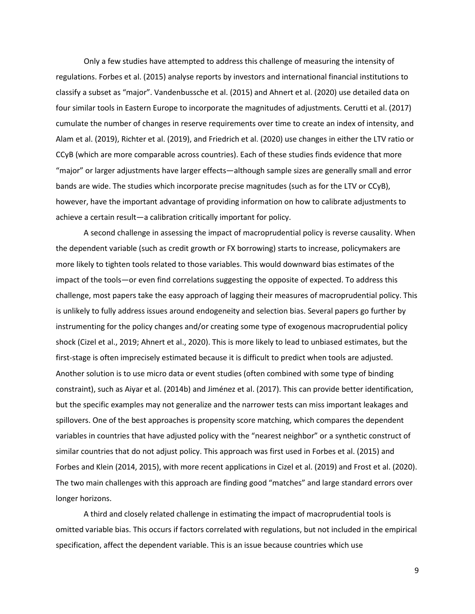Only a few studies have attempted to address this challenge of measuring the intensity of regulations. Forbes et al. (2015) analyse reports by investors and international financial institutions to classify a subset as "major". Vandenbussche et al. (2015) and Ahnert et al. (2020) use detailed data on four similar tools in Eastern Europe to incorporate the magnitudes of adjustments. Cerutti et al. (2017) cumulate the number of changes in reserve requirements over time to create an index of intensity, and Alam et al. (2019), Richter et al. (2019), and Friedrich et al. (2020) use changes in either the LTV ratio or CCyB (which are more comparable across countries). Each of these studies finds evidence that more "major" or larger adjustments have larger effects—although sample sizes are generally small and error bands are wide. The studies which incorporate precise magnitudes (such as for the LTV or CCyB), however, have the important advantage of providing information on how to calibrate adjustments to achieve a certain result—a calibration critically important for policy.

A second challenge in assessing the impact of macroprudential policy is reverse causality. When the dependent variable (such as credit growth or FX borrowing) starts to increase, policymakers are more likely to tighten tools related to those variables. This would downward bias estimates of the impact of the tools—or even find correlations suggesting the opposite of expected. To address this challenge, most papers take the easy approach of lagging their measures of macroprudential policy. This is unlikely to fully address issues around endogeneity and selection bias. Several papers go further by instrumenting for the policy changes and/or creating some type of exogenous macroprudential policy shock (Cizel et al., 2019; Ahnert et al., 2020). This is more likely to lead to unbiased estimates, but the first-stage is often imprecisely estimated because it is difficult to predict when tools are adjusted. Another solution is to use micro data or event studies (often combined with some type of binding constraint), such as Aiyar et al. (2014b) and Jiménez et al. (2017). This can provide better identification, but the specific examples may not generalize and the narrower tests can miss important leakages and spillovers. One of the best approaches is propensity score matching, which compares the dependent variables in countries that have adjusted policy with the "nearest neighbor" or a synthetic construct of similar countries that do not adjust policy. This approach was first used in Forbes et al. (2015) and Forbes and Klein (2014, 2015), with more recent applications in Cizel et al. (2019) and Frost et al. (2020). The two main challenges with this approach are finding good "matches" and large standard errors over longer horizons.

A third and closely related challenge in estimating the impact of macroprudential tools is omitted variable bias. This occurs if factors correlated with regulations, but not included in the empirical specification, affect the dependent variable. This is an issue because countries which use

9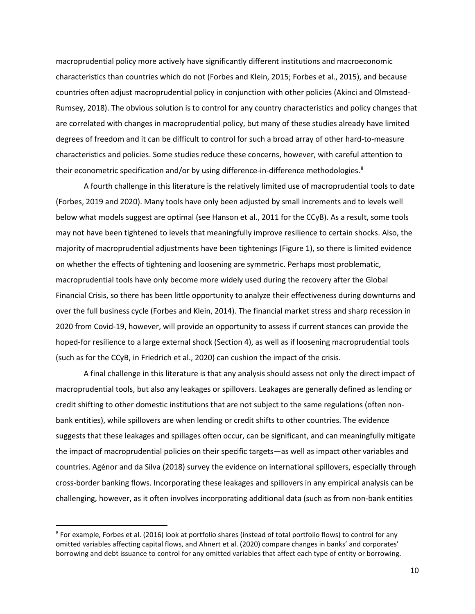macroprudential policy more actively have significantly different institutions and macroeconomic characteristics than countries which do not (Forbes and Klein, 2015; Forbes et al., 2015), and because countries often adjust macroprudential policy in conjunction with other policies (Akinci and Olmstead-Rumsey, 2018). The obvious solution is to control for any country characteristics and policy changes that are correlated with changes in macroprudential policy, but many of these studies already have limited degrees of freedom and it can be difficult to control for such a broad array of other hard-to-measure characteristics and policies. Some studies reduce these concerns, however, with careful attention to their econometric specification and/or by using difference-in-difference methodologies.<sup>[8](#page-11-0)</sup>

A fourth challenge in this literature is the relatively limited use of macroprudential tools to date (Forbes, 2019 and 2020). Many tools have only been adjusted by small increments and to levels well below what models suggest are optimal (see Hanson et al., 2011 for the CCyB). As a result, some tools may not have been tightened to levels that meaningfully improve resilience to certain shocks. Also, the majority of macroprudential adjustments have been tightenings (Figure 1), so there is limited evidence on whether the effects of tightening and loosening are symmetric. Perhaps most problematic, macroprudential tools have only become more widely used during the recovery after the Global Financial Crisis, so there has been little opportunity to analyze their effectiveness during downturns and over the full business cycle (Forbes and Klein, 2014). The financial market stress and sharp recession in 2020 from Covid-19, however, will provide an opportunity to assess if current stances can provide the hoped-for resilience to a large external shock (Section 4), as well as if loosening macroprudential tools (such as for the CCyB, in Friedrich et al., 2020) can cushion the impact of the crisis.

A final challenge in this literature is that any analysis should assess not only the direct impact of macroprudential tools, but also any leakages or spillovers. Leakages are generally defined as lending or credit shifting to other domestic institutions that are not subject to the same regulations (often nonbank entities), while spillovers are when lending or credit shifts to other countries. The evidence suggests that these leakages and spillages often occur, can be significant, and can meaningfully mitigate the impact of macroprudential policies on their specific targets—as well as impact other variables and countries. Agénor and da Silva (2018) survey the evidence on international spillovers, especially through cross-border banking flows. Incorporating these leakages and spillovers in any empirical analysis can be challenging, however, as it often involves incorporating additional data (such as from non-bank entities

l

<span id="page-11-0"></span><sup>8</sup> For example, Forbes et al. (2016) look at portfolio shares (instead of total portfolio flows) to control for any omitted variables affecting capital flows, and Ahnert et al. (2020) compare changes in banks' and corporates' borrowing and debt issuance to control for any omitted variables that affect each type of entity or borrowing.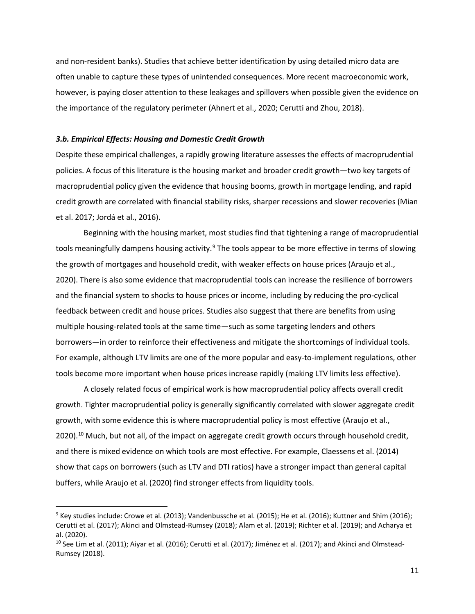and non-resident banks). Studies that achieve better identification by using detailed micro data are often unable to capture these types of unintended consequences. More recent macroeconomic work, however, is paying closer attention to these leakages and spillovers when possible given the evidence on the importance of the regulatory perimeter (Ahnert et al., 2020; Cerutti and Zhou, 2018).

#### *3.b. Empirical Effects: Housing and Domestic Credit Growth*

 $\overline{a}$ 

Despite these empirical challenges, a rapidly growing literature assesses the effects of macroprudential policies. A focus of this literature is the housing market and broader credit growth—two key targets of macroprudential policy given the evidence that housing booms, growth in mortgage lending, and rapid credit growth are correlated with financial stability risks, sharper recessions and slower recoveries (Mian et al. 2017; Jordá et al., 2016).

Beginning with the housing market, most studies find that tightening a range of macroprudential tools meaningfully dampens housing activity.<sup>[9](#page-12-0)</sup> The tools appear to be more effective in terms of slowing the growth of mortgages and household credit, with weaker effects on house prices (Araujo et al., 2020). There is also some evidence that macroprudential tools can increase the resilience of borrowers and the financial system to shocks to house prices or income, including by reducing the pro-cyclical feedback between credit and house prices. Studies also suggest that there are benefits from using multiple housing-related tools at the same time—such as some targeting lenders and others borrowers—in order to reinforce their effectiveness and mitigate the shortcomings of individual tools. For example, although LTV limits are one of the more popular and easy-to-implement regulations, other tools become more important when house prices increase rapidly (making LTV limits less effective).

A closely related focus of empirical work is how macroprudential policy affects overall credit growth. Tighter macroprudential policy is generally significantly correlated with slower aggregate credit growth, with some evidence this is where macroprudential policy is most effective (Araujo et al.,  $2020$ ).<sup>[10](#page-12-1)</sup> Much, but not all, of the impact on aggregate credit growth occurs through household credit, and there is mixed evidence on which tools are most effective. For example, Claessens et al. (2014) show that caps on borrowers (such as LTV and DTI ratios) have a stronger impact than general capital buffers, while Araujo et al. (2020) find stronger effects from liquidity tools.

<span id="page-12-0"></span><sup>9</sup> Key studies include: Crowe et al. (2013); Vandenbussche et al. (2015); He et al. (2016); Kuttner and Shim (2016); Cerutti et al. (2017); Akinci and Olmstead-Rumsey (2018); Alam et al. (2019); Richter et al. (2019); and Acharya et al. (2020).

<span id="page-12-1"></span> $10$  See Lim et al. (2011); Aiyar et al. (2016); Cerutti et al. (2017); Jiménez et al. (2017); and Akinci and Olmstead-Rumsey (2018).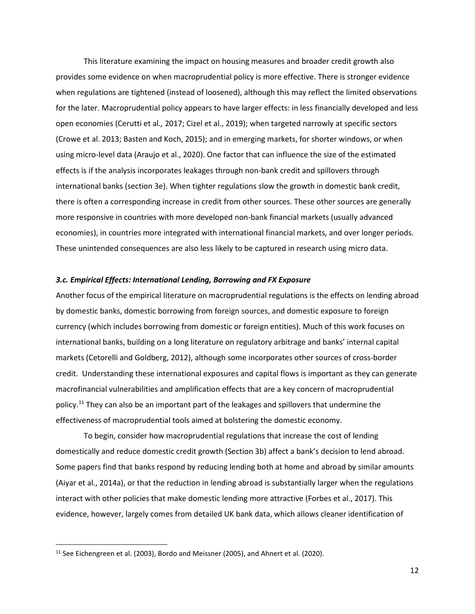This literature examining the impact on housing measures and broader credit growth also provides some evidence on when macroprudential policy is more effective. There is stronger evidence when regulations are tightened (instead of loosened), although this may reflect the limited observations for the later. Macroprudential policy appears to have larger effects: in less financially developed and less open economies (Cerutti et al*.,* 2017; Cizel et al., 2019); when targeted narrowly at specific sectors (Crowe et al. 2013; Basten and Koch, 2015); and in emerging markets, for shorter windows, or when using micro-level data (Araujo et al., 2020). One factor that can influence the size of the estimated effects is if the analysis incorporates leakages through non-bank credit and spillovers through international banks (section 3e). When tighter regulations slow the growth in domestic bank credit, there is often a corresponding increase in credit from other sources. These other sources are generally more responsive in countries with more developed non-bank financial markets (usually advanced economies), in countries more integrated with international financial markets, and over longer periods. These unintended consequences are also less likely to be captured in research using micro data.

#### *3.c. Empirical Effects: International Lending, Borrowing and FX Exposure*

Another focus of the empirical literature on macroprudential regulations is the effects on lending abroad by domestic banks, domestic borrowing from foreign sources, and domestic exposure to foreign currency (which includes borrowing from domestic or foreign entities). Much of this work focuses on international banks, building on a long literature on regulatory arbitrage and banks' internal capital markets (Cetorelli and Goldberg, 2012), although some incorporates other sources of cross-border credit. Understanding these international exposures and capital flows is important as they can generate macrofinancial vulnerabilities and amplification effects that are a key concern of macroprudential policy.<sup>[11](#page-13-0)</sup> They can also be an important part of the leakages and spillovers that undermine the effectiveness of macroprudential tools aimed at bolstering the domestic economy.

To begin, consider how macroprudential regulations that increase the cost of lending domestically and reduce domestic credit growth (Section 3b) affect a bank's decision to lend abroad. Some papers find that banks respond by reducing lending both at home and abroad by similar amounts (Aiyar et al., 2014a), or that the reduction in lending abroad is substantially larger when the regulations interact with other policies that make domestic lending more attractive (Forbes et al., 2017). This evidence, however, largely comes from detailed UK bank data, which allows cleaner identification of

l

12

<span id="page-13-0"></span> $11$  See Eichengreen et al. (2003), Bordo and Meissner (2005), and Ahnert et al. (2020).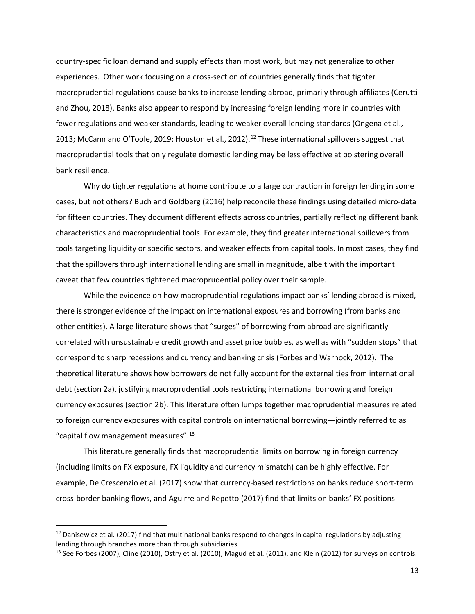country-specific loan demand and supply effects than most work, but may not generalize to other experiences. Other work focusing on a cross-section of countries generally finds that tighter macroprudential regulations cause banks to increase lending abroad, primarily through affiliates (Cerutti and Zhou, 2018). Banks also appear to respond by increasing foreign lending more in countries with fewer regulations and weaker standards, leading to weaker overall lending standards (Ongena et al., 2013; McCann and O'Toole, 2019; Houston et al., 20[12](#page-14-0)).<sup>12</sup> These international spillovers suggest that macroprudential tools that only regulate domestic lending may be less effective at bolstering overall bank resilience.

Why do tighter regulations at home contribute to a large contraction in foreign lending in some cases, but not others? Buch and Goldberg (2016) help reconcile these findings using detailed micro-data for fifteen countries. They document different effects across countries, partially reflecting different bank characteristics and macroprudential tools. For example, they find greater international spillovers from tools targeting liquidity or specific sectors, and weaker effects from capital tools. In most cases, they find that the spillovers through international lending are small in magnitude, albeit with the important caveat that few countries tightened macroprudential policy over their sample.

While the evidence on how macroprudential regulations impact banks' lending abroad is mixed, there is stronger evidence of the impact on international exposures and borrowing (from banks and other entities). A large literature shows that "surges" of borrowing from abroad are significantly correlated with unsustainable credit growth and asset price bubbles, as well as with "sudden stops" that correspond to sharp recessions and currency and banking crisis (Forbes and Warnock, 2012). The theoretical literature shows how borrowers do not fully account for the externalities from international debt (section 2a), justifying macroprudential tools restricting international borrowing and foreign currency exposures (section 2b). This literature often lumps together macroprudential measures related to foreign currency exposures with capital controls on international borrowing—jointly referred to as "capital flow management measures".<sup>13</sup>

This literature generally finds that macroprudential limits on borrowing in foreign currency (including limits on FX exposure, FX liquidity and currency mismatch) can be highly effective. For example, De Crescenzio et al. (2017) show that currency-based restrictions on banks reduce short-term cross-border banking flows, and Aguirre and Repetto (2017) find that limits on banks' FX positions

l

<span id="page-14-0"></span> $12$  Danisewicz et al. (2017) find that multinational banks respond to changes in capital regulations by adjusting lending through branches more than through subsidiaries.

<span id="page-14-1"></span> $13$  See Forbes (2007), Cline (2010), Ostry et al. (2010), Magud et al. (2011), and Klein (2012) for surveys on controls.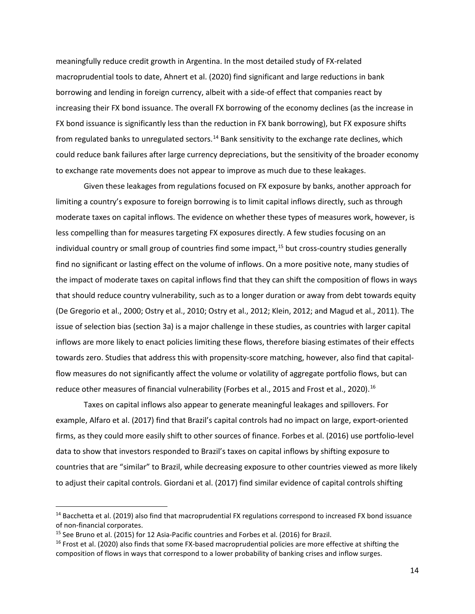meaningfully reduce credit growth in Argentina. In the most detailed study of FX-related macroprudential tools to date, Ahnert et al. (2020) find significant and large reductions in bank borrowing and lending in foreign currency, albeit with a side-of effect that companies react by increasing their FX bond issuance. The overall FX borrowing of the economy declines (as the increase in FX bond issuance is significantly less than the reduction in FX bank borrowing), but FX exposure shifts from regulated banks to unregulated sectors.<sup>14</sup> Bank sensitivity to the exchange rate declines, which could reduce bank failures after large currency depreciations, but the sensitivity of the broader economy to exchange rate movements does not appear to improve as much due to these leakages.

Given these leakages from regulations focused on FX exposure by banks, another approach for limiting a country's exposure to foreign borrowing is to limit capital inflows directly, such as through moderate taxes on capital inflows. The evidence on whether these types of measures work, however, is less compelling than for measures targeting FX exposures directly. A few studies focusing on an individual country or small group of countries find some impact, [15](#page-15-1) but cross-country studies generally find no significant or lasting effect on the volume of inflows. On a more positive note, many studies of the impact of moderate taxes on capital inflows find that they can shift the composition of flows in ways that should reduce country vulnerability, such as to a longer duration or away from debt towards equity (De Gregorio et al., 2000; Ostry et al., 2010; Ostry et al., 2012; Klein, 2012; and Magud et al., 2011). The issue of selection bias (section 3a) is a major challenge in these studies, as countries with larger capital inflows are more likely to enact policies limiting these flows, therefore biasing estimates of their effects towards zero. Studies that address this with propensity-score matching, however, also find that capitalflow measures do not significantly affect the volume or volatility of aggregate portfolio flows, but can reduce other measures of financial vulnerability (Forbes et al., 2015 and Frost et al., 2020).<sup>[16](#page-15-2)</sup>

Taxes on capital inflows also appear to generate meaningful leakages and spillovers. For example, Alfaro et al. (2017) find that Brazil's capital controls had no impact on large, export-oriented firms, as they could more easily shift to other sources of finance. Forbes et al. (2016) use portfolio-level data to show that investors responded to Brazil's taxes on capital inflows by shifting exposure to countries that are "similar" to Brazil, while decreasing exposure to other countries viewed as more likely to adjust their capital controls. Giordani et al. (2017) find similar evidence of capital controls shifting

 $\overline{a}$ 

<span id="page-15-0"></span><sup>&</sup>lt;sup>14</sup> Bacchetta et al. (2019) also find that macroprudential FX regulations correspond to increased FX bond issuance of non-financial corporates.

<span id="page-15-1"></span><sup>&</sup>lt;sup>15</sup> See Bruno et al. (2015) for 12 Asia-Pacific countries and Forbes et al. (2016) for Brazil.

<span id="page-15-2"></span><sup>&</sup>lt;sup>16</sup> Frost et al. (2020) also finds that some FX-based macroprudential policies are more effective at shifting the composition of flows in ways that correspond to a lower probability of banking crises and inflow surges.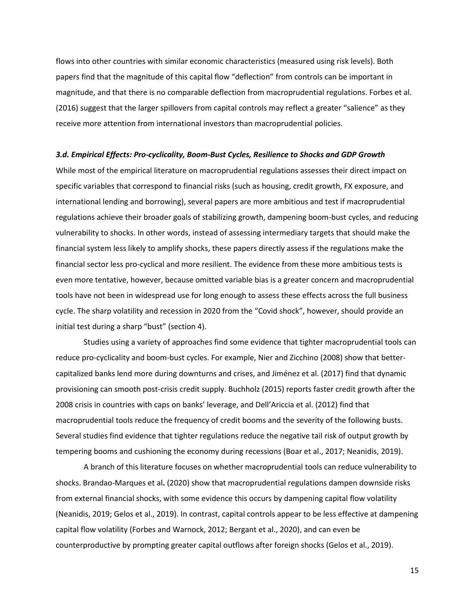flows into other countries with similar economic characteristics (measured using risk levels). Both papers find that the magnitude of this capital flow "deflection" from controls can be important in magnitude, and that there is no comparable deflection from macroprudential regulations. Forbes et al. (2016) suggest that the larger spillovers from capital controls may reflect a greater "salience" as they receive more attention from international investors than macroprudential policies.

#### *3.d. Empirical Effects: Pro-cyclicality, Boom-Bust Cycles, Resilience to Shocks and GDP Growth*

While most of the empirical literature on macroprudential regulations assesses their direct impact on specific variables that correspond to financial risks (such as housing, credit growth, FX exposure, and international lending and borrowing), several papers are more ambitious and test if macroprudential regulations achieve their broader goals of stabilizing growth, dampening boom-bust cycles, and reducing vulnerability to shocks. In other words, instead of assessing intermediary targets that should make the financial system less likely to amplify shocks, these papers directly assess if the regulations make the financial sector less pro-cyclical and more resilient. The evidence from these more ambitious tests is even more tentative, however, because omitted variable bias is a greater concern and macroprudential tools have not been in widespread use for long enough to assess these effects across the full business cycle. The sharp volatility and recession in 2020 from the "Covid shock", however, should provide an initial test during a sharp "bust" (section 4).

Studies using a variety of approaches find some evidence that tighter macroprudential tools can reduce pro-cyclicality and boom-bust cycles. For example, Nier and Zicchino (2008) show that bettercapitalized banks lend more during downturns and crises, and Jiménez et al. (2017) find that dynamic provisioning can smooth post-crisis credit supply. Buchholz (2015) reports faster credit growth after the 2008 crisis in countries with caps on banks' leverage, and Dell'Ariccia et al. (2012) find that macroprudential tools reduce the frequency of credit booms and the severity of the following busts. Several studies find evidence that tighter regulations reduce the negative tail risk of output growth by tempering booms and cushioning the economy during recessions (Boar et al., 2017; Neanidis, 2019).

A branch of this literature focuses on whether macroprudential tools can reduce vulnerability to shocks. Brandao-Marques et al**.** (2020) show that macroprudential regulations dampen downside risks from external financial shocks, with some evidence this occurs by dampening capital flow volatility (Neanidis, 2019; Gelos et al., 2019). In contrast, capital controls appear to be less effective at dampening capital flow volatility (Forbes and Warnock, 2012; Bergant et al., 2020), and can even be counterproductive by prompting greater capital outflows after foreign shocks (Gelos et al., 2019).

15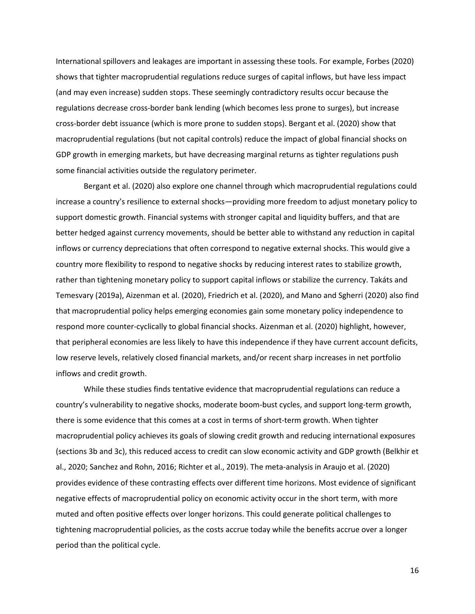International spillovers and leakages are important in assessing these tools. For example, Forbes (2020) shows that tighter macroprudential regulations reduce surges of capital inflows, but have less impact (and may even increase) sudden stops. These seemingly contradictory results occur because the regulations decrease cross-border bank lending (which becomes less prone to surges), but increase cross-border debt issuance (which is more prone to sudden stops). Bergant et al. (2020) show that macroprudential regulations (but not capital controls) reduce the impact of global financial shocks on GDP growth in emerging markets, but have decreasing marginal returns as tighter regulations push some financial activities outside the regulatory perimeter.

Bergant et al. (2020) also explore one channel through which macroprudential regulations could increase a country's resilience to external shocks—providing more freedom to adjust monetary policy to support domestic growth. Financial systems with stronger capital and liquidity buffers, and that are better hedged against currency movements, should be better able to withstand any reduction in capital inflows or currency depreciations that often correspond to negative external shocks. This would give a country more flexibility to respond to negative shocks by reducing interest rates to stabilize growth, rather than tightening monetary policy to support capital inflows or stabilize the currency. Takáts and Temesvary (2019a), Aizenman et al. (2020), Friedrich et al. (2020), and Mano and Sgherri (2020) also find that macroprudential policy helps emerging economies gain some monetary policy independence to respond more counter-cyclically to global financial shocks. Aizenman et al. (2020) highlight, however, that peripheral economies are less likely to have this independence if they have current account deficits, low reserve levels, relatively closed financial markets, and/or recent sharp increases in net portfolio inflows and credit growth.

While these studies finds tentative evidence that macroprudential regulations can reduce a country's vulnerability to negative shocks, moderate boom-bust cycles, and support long-term growth, there is some evidence that this comes at a cost in terms of short-term growth. When tighter macroprudential policy achieves its goals of slowing credit growth and reducing international exposures (sections 3b and 3c), this reduced access to credit can slow economic activity and GDP growth (Belkhir et al., 2020; Sanchez and Rohn, 2016; Richter et al., 2019). The meta-analysis in Araujo et al. (2020) provides evidence of these contrasting effects over different time horizons. Most evidence of significant negative effects of macroprudential policy on economic activity occur in the short term, with more muted and often positive effects over longer horizons. This could generate political challenges to tightening macroprudential policies, as the costs accrue today while the benefits accrue over a longer period than the political cycle.

16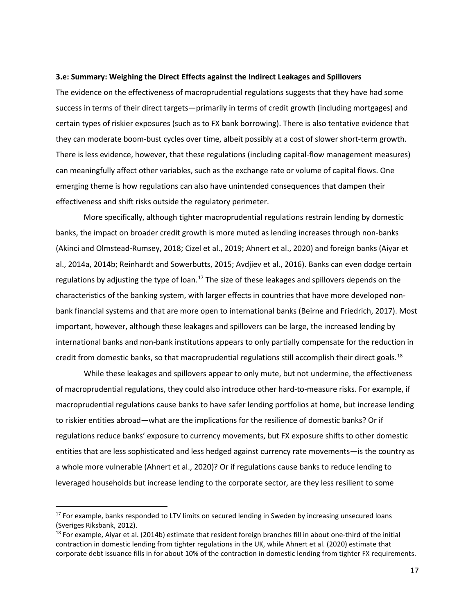### **3.e: Summary: Weighing the Direct Effects against the Indirect Leakages and Spillovers**

The evidence on the effectiveness of macroprudential regulations suggests that they have had some success in terms of their direct targets—primarily in terms of credit growth (including mortgages) and certain types of riskier exposures (such as to FX bank borrowing). There is also tentative evidence that they can moderate boom-bust cycles over time, albeit possibly at a cost of slower short-term growth. There is less evidence, however, that these regulations (including capital-flow management measures) can meaningfully affect other variables, such as the exchange rate or volume of capital flows. One emerging theme is how regulations can also have unintended consequences that dampen their effectiveness and shift risks outside the regulatory perimeter.

More specifically, although tighter macroprudential regulations restrain lending by domestic banks, the impact on broader credit growth is more muted as lending increases through non-banks (Akinci and Olmstead**-**Rumsey, 2018; Cizel et al., 2019; Ahnert et al., 2020) and foreign banks (Aiyar et al., 2014a, 2014b; Reinhardt and Sowerbutts, 2015; Avdjiev et al., 2016). Banks can even dodge certain regulations by adjusting the type of loan.<sup>[17](#page-18-0)</sup> The size of these leakages and spillovers depends on the characteristics of the banking system, with larger effects in countries that have more developed nonbank financial systems and that are more open to international banks (Beirne and Friedrich, 2017). Most important, however, although these leakages and spillovers can be large, the increased lending by international banks and non-bank institutions appears to only partially compensate for the reduction in credit from domestic banks, so that macroprudential regulations still accomplish their direct goals.<sup>[18](#page-18-1)</sup>

While these leakages and spillovers appear to only mute, but not undermine, the effectiveness of macroprudential regulations, they could also introduce other hard-to-measure risks. For example, if macroprudential regulations cause banks to have safer lending portfolios at home, but increase lending to riskier entities abroad—what are the implications for the resilience of domestic banks? Or if regulations reduce banks' exposure to currency movements, but FX exposure shifts to other domestic entities that are less sophisticated and less hedged against currency rate movements—is the country as a whole more vulnerable (Ahnert et al., 2020)? Or if regulations cause banks to reduce lending to leveraged households but increase lending to the corporate sector, are they less resilient to some

 $\overline{a}$ 

<span id="page-18-0"></span><sup>&</sup>lt;sup>17</sup> For example, banks responded to LTV limits on secured lending in Sweden by increasing unsecured loans (Sveriges Riksbank, 2012).

<span id="page-18-1"></span> $18$  For example, Aiyar et al. (2014b) estimate that resident foreign branches fill in about one-third of the initial contraction in domestic lending from tighter regulations in the UK, while Ahnert et al. (2020) estimate that corporate debt issuance fills in for about 10% of the contraction in domestic lending from tighter FX requirements.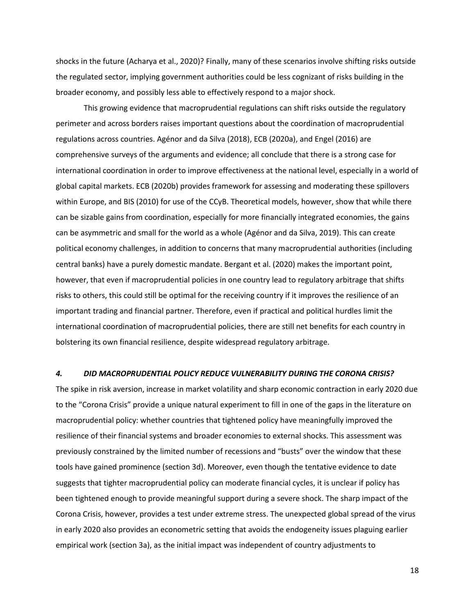shocks in the future (Acharya et al., 2020)? Finally, many of these scenarios involve shifting risks outside the regulated sector, implying government authorities could be less cognizant of risks building in the broader economy, and possibly less able to effectively respond to a major shock.

This growing evidence that macroprudential regulations can shift risks outside the regulatory perimeter and across borders raises important questions about the coordination of macroprudential regulations across countries. Agénor and da Silva (2018), ECB (2020a), and Engel (2016) are comprehensive surveys of the arguments and evidence; all conclude that there is a strong case for international coordination in order to improve effectiveness at the national level, especially in a world of global capital markets. ECB (2020b) provides framework for assessing and moderating these spillovers within Europe, and BIS (2010) for use of the CCyB. Theoretical models, however, show that while there can be sizable gains from coordination, especially for more financially integrated economies, the gains can be asymmetric and small for the world as a whole (Agénor and da Silva, 2019). This can create political economy challenges, in addition to concerns that many macroprudential authorities (including central banks) have a purely domestic mandate. Bergant et al. (2020) makes the important point, however, that even if macroprudential policies in one country lead to regulatory arbitrage that shifts risks to others, this could still be optimal for the receiving country if it improves the resilience of an important trading and financial partner. Therefore, even if practical and political hurdles limit the international coordination of macroprudential policies, there are still net benefits for each country in bolstering its own financial resilience, despite widespread regulatory arbitrage.

#### *4. DID MACROPRUDENTIAL POLICY REDUCE VULNERABILITY DURING THE CORONA CRISIS?*

The spike in risk aversion, increase in market volatility and sharp economic contraction in early 2020 due to the "Corona Crisis" provide a unique natural experiment to fill in one of the gaps in the literature on macroprudential policy: whether countries that tightened policy have meaningfully improved the resilience of their financial systems and broader economies to external shocks. This assessment was previously constrained by the limited number of recessions and "busts" over the window that these tools have gained prominence (section 3d). Moreover, even though the tentative evidence to date suggests that tighter macroprudential policy can moderate financial cycles, it is unclear if policy has been tightened enough to provide meaningful support during a severe shock. The sharp impact of the Corona Crisis, however, provides a test under extreme stress. The unexpected global spread of the virus in early 2020 also provides an econometric setting that avoids the endogeneity issues plaguing earlier empirical work (section 3a), as the initial impact was independent of country adjustments to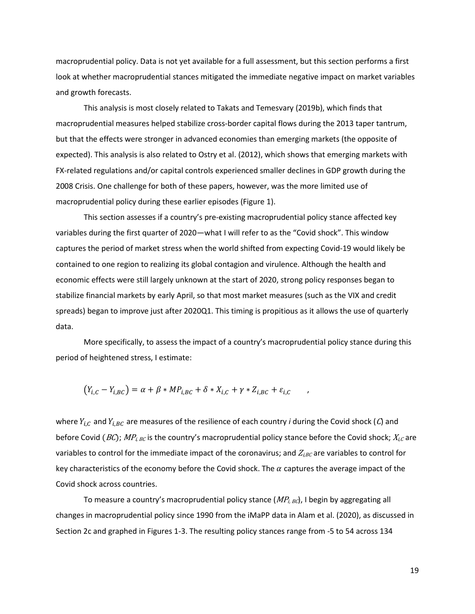macroprudential policy. Data is not yet available for a full assessment, but this section performs a first look at whether macroprudential stances mitigated the immediate negative impact on market variables and growth forecasts.

This analysis is most closely related to Takats and Temesvary (2019b), which finds that macroprudential measures helped stabilize cross-border capital flows during the 2013 taper tantrum, but that the effects were stronger in advanced economies than emerging markets (the opposite of expected). This analysis is also related to Ostry et al. (2012), which shows that emerging markets with FX-related regulations and/or capital controls experienced smaller declines in GDP growth during the 2008 Crisis. One challenge for both of these papers, however, was the more limited use of macroprudential policy during these earlier episodes (Figure 1).

This section assesses if a country's pre-existing macroprudential policy stance affected key variables during the first quarter of 2020—what I will refer to as the "Covid shock". This window captures the period of market stress when the world shifted from expecting Covid-19 would likely be contained to one region to realizing its global contagion and virulence. Although the health and economic effects were still largely unknown at the start of 2020, strong policy responses began to stabilize financial markets by early April, so that most market measures (such as the VIX and credit spreads) began to improve just after 2020Q1. This timing is propitious as it allows the use of quarterly data.

More specifically, to assess the impact of a country's macroprudential policy stance during this period of heightened stress, I estimate:

$$
(Y_{i,C} - Y_{i,BC}) = \alpha + \beta * MP_{i,BC} + \delta * X_{i,C} + \gamma * Z_{i,BC} + \varepsilon_{i,C} ,
$$

where  $Y_{i,C}$  and  $Y_{i,BC}$  are measures of the resilience of each country *i* during the Covid shock (*C*) and before Covid (BC);  $MP_{i, BC}$  is the country's macroprudential policy stance before the Covid shock;  $X_{i, C}$  are variables to control for the immediate impact of the coronavirus; and  $Z_{i,BC}$  are variables to control for key characteristics of the economy before the Covid shock. The  $\alpha$  captures the average impact of the Covid shock across countries.

To measure a country's macroprudential policy stance  $(MP_{i,BC})$ , I begin by aggregating all changes in macroprudential policy since 1990 from the iMaPP data in Alam et al. (2020), as discussed in Section 2c and graphed in Figures 1-3. The resulting policy stances range from -5 to 54 across 134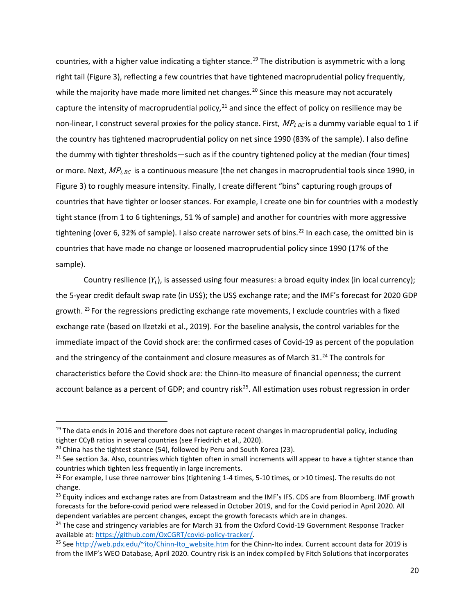countries, with a higher value indicating a tighter stance.<sup>[19](#page-21-0)</sup> The distribution is asymmetric with a long right tail (Figure 3), reflecting a few countries that have tightened macroprudential policy frequently, while the majority have made more limited net changes.<sup>[20](#page-21-1)</sup> Since this measure may not accurately capture the intensity of macroprudential policy, $^{21}$  $^{21}$  $^{21}$  and since the effect of policy on resilience may be non-linear, I construct several proxies for the policy stance. First,  $MP_{i, BC}$  is a dummy variable equal to 1 if the country has tightened macroprudential policy on net since 1990 (83% of the sample). I also define the dummy with tighter thresholds—such as if the country tightened policy at the median (four times) or more. Next,  $MP_{i, BC}$  is a continuous measure (the net changes in macroprudential tools since 1990, in Figure 3) to roughly measure intensity. Finally, I create different "bins" capturing rough groups of countries that have tighter or looser stances. For example, I create one bin for countries with a modestly tight stance (from 1 to 6 tightenings, 51 % of sample) and another for countries with more aggressive tightening (over 6, 32% of sample). I also create narrower sets of bins.<sup>[22](#page-21-3)</sup> In each case, the omitted bin is countries that have made no change or loosened macroprudential policy since 1990 (17% of the sample).

Country resilience  $(Y_i)$ , is assessed using four measures: a broad equity index (in local currency); the 5-year credit default swap rate (in US\$); the US\$ exchange rate; and the IMF's forecast for 2020 GDP growth.<sup>[23](#page-21-4)</sup> For the regressions predicting exchange rate movements, I exclude countries with a fixed exchange rate (based on Ilzetzki et al., 2019). For the baseline analysis, the control variables for the immediate impact of the Covid shock are: the confirmed cases of Covid-19 as percent of the population and the stringency of the containment and closure measures as of March 31.<sup>[24](#page-21-5)</sup> The controls for characteristics before the Covid shock are: the Chinn-Ito measure of financial openness; the current account balance as a percent of GDP; and country risk<sup>[25](#page-21-6)</sup>. All estimation uses robust regression in order

l

<span id="page-21-0"></span><sup>&</sup>lt;sup>19</sup> The data ends in 2016 and therefore does not capture recent changes in macroprudential policy, including tighter CCyB ratios in several countries (see Friedrich et al., 2020).

<span id="page-21-1"></span> $20$  China has the tightest stance (54), followed by Peru and South Korea (23).

<span id="page-21-2"></span><sup>&</sup>lt;sup>21</sup> See section 3a. Also, countries which tighten often in small increments will appear to have a tighter stance than countries which tighten less frequently in large increments.

<span id="page-21-3"></span><sup>&</sup>lt;sup>22</sup> For example, I use three narrower bins (tightening 1-4 times, 5-10 times, or >10 times). The results do not change.<br><sup>23</sup> Equity indices and exchange rates are from Datastream and the IMF's IFS. CDS are from Bloomberg. IMF growth

<span id="page-21-4"></span>forecasts for the before-covid period were released in October 2019, and for the Covid period in April 2020. All dependent variables are percent changes, except the growth forecasts which are in changes.<br><sup>24</sup> The case and stringency variables are for March 31 from the Oxford Covid-19 Government Response Tracker

<span id="page-21-5"></span>available at: [https://github.com/OxCGRT/covid-policy-tracker/.](https://github.com/OxCGRT/covid-policy-tracker/)<br><sup>25</sup> Se[e http://web.pdx.edu/~ito/Chinn-Ito\\_website.htm](http://web.pdx.edu/%7Eito/Chinn-Ito_website.htm) for the Chinn-Ito index. Current account data for 2019 is

<span id="page-21-6"></span>from the IMF's WEO Database, April 2020. Country risk is an index compiled by Fitch Solutions that incorporates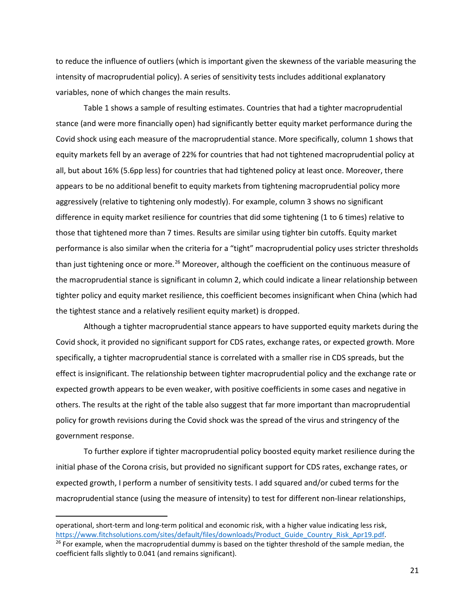to reduce the influence of outliers (which is important given the skewness of the variable measuring the intensity of macroprudential policy). A series of sensitivity tests includes additional explanatory variables, none of which changes the main results.

Table 1 shows a sample of resulting estimates. Countries that had a tighter macroprudential stance (and were more financially open) had significantly better equity market performance during the Covid shock using each measure of the macroprudential stance. More specifically, column 1 shows that equity markets fell by an average of 22% for countries that had not tightened macroprudential policy at all, but about 16% (5.6pp less) for countries that had tightened policy at least once. Moreover, there appears to be no additional benefit to equity markets from tightening macroprudential policy more aggressively (relative to tightening only modestly). For example, column 3 shows no significant difference in equity market resilience for countries that did some tightening (1 to 6 times) relative to those that tightened more than 7 times. Results are similar using tighter bin cutoffs. Equity market performance is also similar when the criteria for a "tight" macroprudential policy uses stricter thresholds than just tightening once or more.<sup>[26](#page-22-0)</sup> Moreover, although the coefficient on the continuous measure of the macroprudential stance is significant in column 2, which could indicate a linear relationship between tighter policy and equity market resilience, this coefficient becomes insignificant when China (which had the tightest stance and a relatively resilient equity market) is dropped.

Although a tighter macroprudential stance appears to have supported equity markets during the Covid shock, it provided no significant support for CDS rates, exchange rates, or expected growth. More specifically, a tighter macroprudential stance is correlated with a smaller rise in CDS spreads, but the effect is insignificant. The relationship between tighter macroprudential policy and the exchange rate or expected growth appears to be even weaker, with positive coefficients in some cases and negative in others. The results at the right of the table also suggest that far more important than macroprudential policy for growth revisions during the Covid shock was the spread of the virus and stringency of the government response.

To further explore if tighter macroprudential policy boosted equity market resilience during the initial phase of the Corona crisis, but provided no significant support for CDS rates, exchange rates, or expected growth, I perform a number of sensitivity tests. I add squared and/or cubed terms for the macroprudential stance (using the measure of intensity) to test for different non-linear relationships,

 $\overline{\phantom{a}}$ 

operational, short-term and long-term political and economic risk, with a higher value indicating less risk, [https://www.fitchsolutions.com/sites/default/files/downloads/Product\\_Guide\\_Country\\_Risk\\_Apr19.pdf.](https://www.fitchsolutions.com/sites/default/files/downloads/Product_Guide_Country_Risk_Apr19.pdf) <sup>26</sup> For example, when the macroprudential dummy is based on the tighter threshold of the sample median, the

<span id="page-22-0"></span>coefficient falls slightly to 0.041 (and remains significant).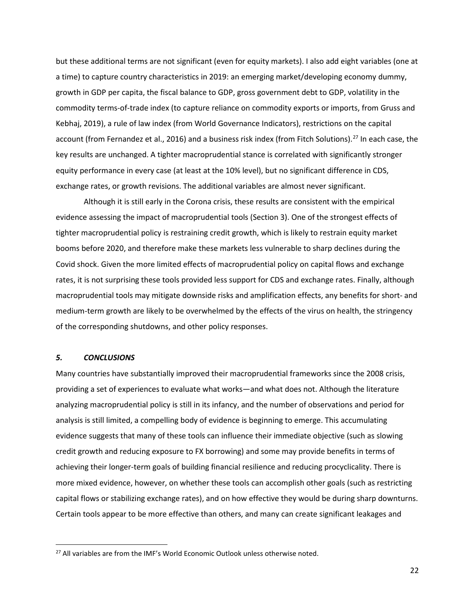but these additional terms are not significant (even for equity markets). I also add eight variables (one at a time) to capture country characteristics in 2019: an emerging market/developing economy dummy, growth in GDP per capita, the fiscal balance to GDP, gross government debt to GDP, volatility in the commodity terms-of-trade index (to capture reliance on commodity exports or imports, from Gruss and Kebhaj, 2019), a rule of law index (from World Governance Indicators), restrictions on the capital account (from Fernandez et al., 2016) and a business risk index (from Fitch Solutions).<sup>[27](#page-23-0)</sup> In each case, the key results are unchanged. A tighter macroprudential stance is correlated with significantly stronger equity performance in every case (at least at the 10% level), but no significant difference in CDS, exchange rates, or growth revisions. The additional variables are almost never significant.

Although it is still early in the Corona crisis, these results are consistent with the empirical evidence assessing the impact of macroprudential tools (Section 3). One of the strongest effects of tighter macroprudential policy is restraining credit growth, which is likely to restrain equity market booms before 2020, and therefore make these markets less vulnerable to sharp declines during the Covid shock. Given the more limited effects of macroprudential policy on capital flows and exchange rates, it is not surprising these tools provided less support for CDS and exchange rates. Finally, although macroprudential tools may mitigate downside risks and amplification effects, any benefits for short- and medium-term growth are likely to be overwhelmed by the effects of the virus on health, the stringency of the corresponding shutdowns, and other policy responses.

## *5. CONCLUSIONS*

l

Many countries have substantially improved their macroprudential frameworks since the 2008 crisis, providing a set of experiences to evaluate what works—and what does not. Although the literature analyzing macroprudential policy is still in its infancy, and the number of observations and period for analysis is still limited, a compelling body of evidence is beginning to emerge. This accumulating evidence suggests that many of these tools can influence their immediate objective (such as slowing credit growth and reducing exposure to FX borrowing) and some may provide benefits in terms of achieving their longer-term goals of building financial resilience and reducing procyclicality. There is more mixed evidence, however, on whether these tools can accomplish other goals (such as restricting capital flows or stabilizing exchange rates), and on how effective they would be during sharp downturns. Certain tools appear to be more effective than others, and many can create significant leakages and

22

<span id="page-23-0"></span> $27$  All variables are from the IMF's World Economic Outlook unless otherwise noted.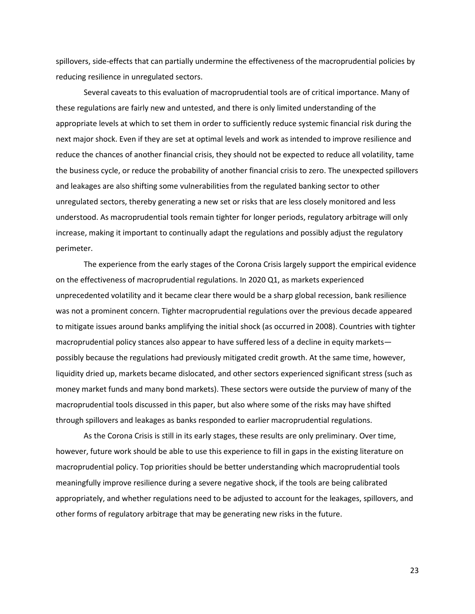spillovers, side-effects that can partially undermine the effectiveness of the macroprudential policies by reducing resilience in unregulated sectors.

Several caveats to this evaluation of macroprudential tools are of critical importance. Many of these regulations are fairly new and untested, and there is only limited understanding of the appropriate levels at which to set them in order to sufficiently reduce systemic financial risk during the next major shock. Even if they are set at optimal levels and work as intended to improve resilience and reduce the chances of another financial crisis, they should not be expected to reduce all volatility, tame the business cycle, or reduce the probability of another financial crisis to zero. The unexpected spillovers and leakages are also shifting some vulnerabilities from the regulated banking sector to other unregulated sectors, thereby generating a new set or risks that are less closely monitored and less understood. As macroprudential tools remain tighter for longer periods, regulatory arbitrage will only increase, making it important to continually adapt the regulations and possibly adjust the regulatory perimeter.

The experience from the early stages of the Corona Crisis largely support the empirical evidence on the effectiveness of macroprudential regulations. In 2020 Q1, as markets experienced unprecedented volatility and it became clear there would be a sharp global recession, bank resilience was not a prominent concern. Tighter macroprudential regulations over the previous decade appeared to mitigate issues around banks amplifying the initial shock (as occurred in 2008). Countries with tighter macroprudential policy stances also appear to have suffered less of a decline in equity markets possibly because the regulations had previously mitigated credit growth. At the same time, however, liquidity dried up, markets became dislocated, and other sectors experienced significant stress (such as money market funds and many bond markets). These sectors were outside the purview of many of the macroprudential tools discussed in this paper, but also where some of the risks may have shifted through spillovers and leakages as banks responded to earlier macroprudential regulations.

As the Corona Crisis is still in its early stages, these results are only preliminary. Over time, however, future work should be able to use this experience to fill in gaps in the existing literature on macroprudential policy. Top priorities should be better understanding which macroprudential tools meaningfully improve resilience during a severe negative shock, if the tools are being calibrated appropriately, and whether regulations need to be adjusted to account for the leakages, spillovers, and other forms of regulatory arbitrage that may be generating new risks in the future.

23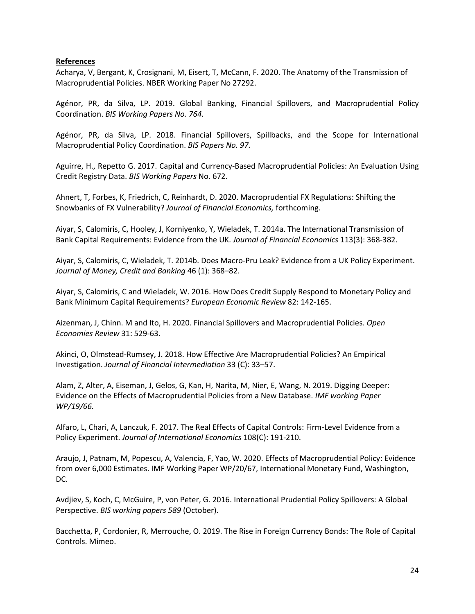## **References**

Acharya, V, Bergant, K, Crosignani, M, Eisert, T, McCann, F. 2020. The Anatomy of the Transmission of Macroprudential Policies. NBER Working Paper No 27292.

Agénor, PR, da Silva, LP. 2019. Global Banking, Financial Spillovers, and Macroprudential Policy Coordination. *BIS Working Papers No. 764.*

Agénor, PR, da Silva, LP. 2018. Financial Spillovers, Spillbacks, and the Scope for International Macroprudential Policy Coordination. *BIS Papers No. 97.*

Aguirre, H., Repetto G. 2017. Capital and Currency-Based Macroprudential Policies: An Evaluation Using Credit Registry Data. *BIS Working Papers* No. 672.

Ahnert, T, Forbes, K, Friedrich, C, Reinhardt, D. 2020. Macroprudential FX Regulations: Shifting the Snowbanks of FX Vulnerability? *Journal of Financial Economics,* forthcoming.

Aiyar, S, Calomiris, C, Hooley, J, Korniyenko, Y, Wieladek, T. 2014a. The International Transmission of Bank Capital Requirements: Evidence from the UK. *Journal of Financial Economics* 113(3): 368-382.

Aiyar, S, Calomiris, C, Wieladek, T. 2014b. Does Macro-Pru Leak? Evidence from a UK Policy Experiment. *Journal of Money, Credit and Banking* 46 (1): 368–82.

Aiyar, S, Calomiris, C and Wieladek, W. 2016. How Does Credit Supply Respond to Monetary Policy and Bank Minimum Capital Requirements? *European Economic Review* 82: 142-165.

Aizenman, J, Chinn. M and Ito, H. 2020. Financial Spillovers and Macroprudential Policies. *Open Economies Review* 31: 529-63.

Akinci, O, Olmstead-Rumsey, J. 2018. How Effective Are Macroprudential Policies? An Empirical Investigation. *Journal of Financial Intermediation* 33 (C): 33–57.

Alam, Z, Alter, A, Eiseman, J, Gelos, G, Kan, H, Narita, M, Nier, E, Wang, N. 2019. Digging Deeper: Evidence on the Effects of Macroprudential Policies from a New Database. *IMF working Paper WP/19/66.*

Alfaro, L, Chari, A, Lanczuk, F. 2017. The Real Effects of Capital Controls: Firm-Level Evidence from a Policy Experiment. *Journal of International Economics* 108(C): 191-210.

Araujo, J, Patnam, M, Popescu, A, Valencia, F, Yao, W. 2020. Effects of Macroprudential Policy: Evidence from over 6,000 Estimates. IMF Working Paper WP/20/67, International Monetary Fund, Washington, DC.

Avdjiev, S, Koch, C, McGuire, P, von Peter, G. 2016. International Prudential Policy Spillovers: A Global Perspective. *BIS working papers 589* (October).

Bacchetta, P, Cordonier, R, Merrouche, O. 2019. The Rise in Foreign Currency Bonds: The Role of Capital Controls. Mimeo.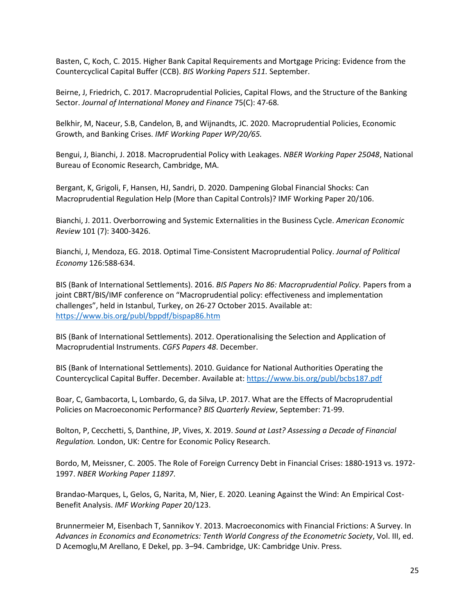Basten, C, Koch, C. 2015. Higher Bank Capital Requirements and Mortgage Pricing: Evidence from the Countercyclical Capital Buffer (CCB). *BIS Working Papers 511.* September.

Beirne, J, Friedrich, C. 2017. Macroprudential Policies, Capital Flows, and the Structure of the Banking Sector. *Journal of International Money and Finance* 75(C): 47-68*.* 

Belkhir, M, Naceur, S.B, Candelon, B, and Wijnandts, JC. 2020. Macroprudential Policies, Economic Growth, and Banking Crises. *IMF Working Paper WP/20/65.*

Bengui, J, Bianchi, J. 2018. Macroprudential Policy with Leakages. *NBER Working Paper 25048*, National Bureau of Economic Research, Cambridge, MA.

Bergant, K, Grigoli, F, Hansen, HJ, Sandri, D. 2020. Dampening Global Financial Shocks: Can Macroprudential Regulation Help (More than Capital Controls)? IMF Working Paper 20/106.

Bianchi, J. 2011. Overborrowing and Systemic Externalities in the Business Cycle. *American Economic Review* 101 (7): 3400-3426.

Bianchi, J, Mendoza, EG. 2018. Optimal Time-Consistent Macroprudential Policy. *Journal of Political Economy* 126:588-634.

BIS (Bank of International Settlements). 2016. *BIS Papers No 86: Macroprudential Policy.* Papers from a joint CBRT/BIS/IMF conference on "Macroprudential policy: effectiveness and implementation challenges", held in Istanbul, Turkey, on 26-27 October 2015. Available at: <https://www.bis.org/publ/bppdf/bispap86.htm>

BIS (Bank of International Settlements). 2012. Operationalising the Selection and Application of Macroprudential Instruments. *CGFS Papers 48*. December.

BIS (Bank of International Settlements). 2010. Guidance for National Authorities Operating the Countercyclical Capital Buffer. December. Available at:<https://www.bis.org/publ/bcbs187.pdf>

Boar, C, Gambacorta, L, Lombardo, G, da Silva, LP. 2017. What are the Effects of Macroprudential Policies on Macroeconomic Performance? *BIS Quarterly Review*, September: 71-99.

Bolton, P, Cecchetti, S, Danthine, JP, Vives, X. 2019. *Sound at Last? Assessing a Decade of Financial Regulation.* London, UK: Centre for Economic Policy Research.

Bordo, M, Meissner, C. 2005. The Role of Foreign Currency Debt in Financial Crises: 1880-1913 vs. 1972- 1997. *NBER Working Paper 11897*.

Brandao-Marques, L, Gelos, G, Narita, M, Nier, E. 2020. Leaning Against the Wind: An Empirical Cost-Benefit Analysis. *IMF Working Paper* 20/123.

Brunnermeier M, Eisenbach T, Sannikov Y. 2013. Macroeconomics with Financial Frictions: A Survey. In *Advances in Economics and Econometrics: Tenth World Congress of the Econometric Society*, Vol. III, ed. D Acemoglu,M Arellano, E Dekel, pp. 3–94. Cambridge, UK: Cambridge Univ. Press.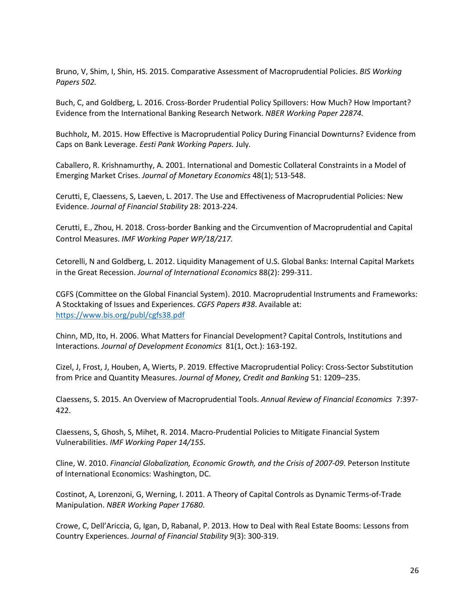Bruno, V, Shim, I, Shin, HS. 2015. Comparative Assessment of Macroprudential Policies. *BIS Working Papers 502.* 

Buch, C, and Goldberg, L. 2016. Cross-Border Prudential Policy Spillovers: How Much? How Important? Evidence from the International Banking Research Network. *NBER Working Paper 22874.*

Buchholz, M. 2015. How Effective is Macroprudential Policy During Financial Downturns? Evidence from Caps on Bank Leverage. *Eesti Pank Working Papers.* July*.* 

Caballero, R. Krishnamurthy, A. 2001. International and Domestic Collateral Constraints in a Model of Emerging Market Crises. *Journal of Monetary Economics* 48(1); 513-548.

Cerutti, E, Claessens, S, Laeven, L. 2017. The Use and Effectiveness of Macroprudential Policies: New Evidence. *Journal of Financial Stability* 28: 2013-224.

Cerutti, E., Zhou, H. 2018. Cross-border Banking and the Circumvention of Macroprudential and Capital Control Measures. *IMF Working Paper WP/18/217.*

Cetorelli, N and Goldberg, L. 2012. Liquidity Management of U.S. Global Banks: Internal Capital Markets in the Great Recession. *Journal of International Economics* 88(2): 299-311.

CGFS (Committee on the Global Financial System). 2010. Macroprudential Instruments and Frameworks: A Stocktaking of Issues and Experiences. *CGFS Papers #38*. Available at: <https://www.bis.org/publ/cgfs38.pdf>

Chinn, MD, Ito, H. 2006. What Matters for Financial Development? Capital Controls, Institutions and Interactions. *Journal of Development Economics* 81(1, Oct.): 163-192.

Cizel, J, Frost, J, Houben, A, Wierts, P. 2019. Effective Macroprudential Policy: Cross-Sector Substitution from Price and Quantity Measures. *Journal of Money, Credit and Banking* 51: 1209–235.

Claessens, S. 2015. An Overview of Macroprudential Tools. *Annual Review of Financial Economics* 7:397- 422.

Claessens, S, Ghosh, S, Mihet, R. 2014. Macro-Prudential Policies to Mitigate Financial System Vulnerabilities. *IMF Working Paper 14/155.*

Cline, W. 2010. *Financial Globalization, Economic Growth, and the Crisis of 2007-09.* Peterson Institute of International Economics: Washington, DC.

Costinot, A, Lorenzoni, G, Werning, I. 2011. A Theory of Capital Controls as Dynamic Terms-of-Trade Manipulation. *NBER Working Paper 17680*.

Crowe, C, Dell'Ariccia, G, Igan, D, Rabanal, P. 2013. How to Deal with Real Estate Booms: Lessons from Country Experiences. *Journal of Financial Stability* 9(3): 300-319.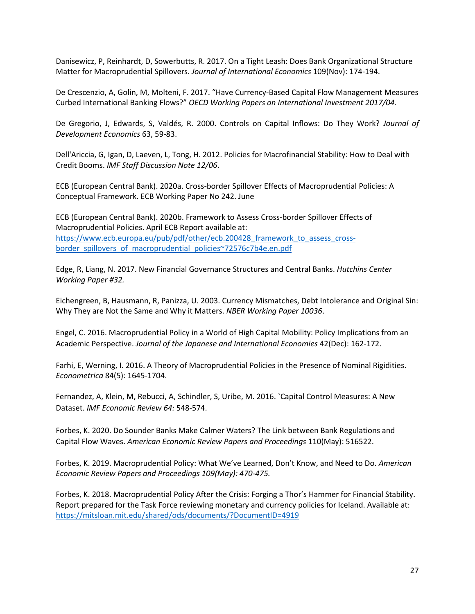Danisewicz, P, Reinhardt, D, Sowerbutts, R. 2017. On a Tight Leash: Does Bank Organizational Structure Matter for Macroprudential Spillovers. *Journal of International Economics* 109(Nov): 174-194.

De Crescenzio, A, Golin, M, Molteni, F. 2017. "Have Currency-Based Capital Flow Management Measures Curbed International Banking Flows?" *OECD Working Papers on International Investment 2017/04.*

De Gregorio, J, Edwards, S, Valdés, R. 2000. Controls on Capital Inflows: Do They Work? *Journal of Development Economics* 63, 59-83.

Dell'Ariccia, G, Igan, D, Laeven, L, Tong, H. 2012. Policies for Macrofinancial Stability: How to Deal with Credit Booms. *IMF Staff Discussion Note 12/06*.

ECB (European Central Bank). 2020a. Cross-border Spillover Effects of Macroprudential Policies: A Conceptual Framework. ECB Working Paper No 242. June

ECB (European Central Bank). 2020b. Framework to Assess Cross-border Spillover Effects of Macroprudential Policies. April ECB Report available at: [https://www.ecb.europa.eu/pub/pdf/other/ecb.200428\\_framework\\_to\\_assess\\_cross](https://www.ecb.europa.eu/pub/pdf/other/ecb.200428_framework_to_assess_cross-border_spillovers_of_macroprudential_policies%7E72576c7b4e.en.pdf)[border\\_spillovers\\_of\\_macroprudential\\_policies~72576c7b4e.en.pdf](https://www.ecb.europa.eu/pub/pdf/other/ecb.200428_framework_to_assess_cross-border_spillovers_of_macroprudential_policies%7E72576c7b4e.en.pdf)

Edge, R, Liang, N. 2017. New Financial Governance Structures and Central Banks. *Hutchins Center Working Paper #32.*

Eichengreen, B, Hausmann, R, Panizza, U. 2003. Currency Mismatches, Debt Intolerance and Original Sin: Why They are Not the Same and Why it Matters. *NBER Working Paper 10036*.

Engel, C. 2016. Macroprudential Policy in a World of High Capital Mobility: Policy Implications from an Academic Perspective. *Journal of the Japanese and International Economies* 42(Dec): 162-172.

Farhi, E, Werning, I. 2016. A Theory of Macroprudential Policies in the Presence of Nominal Rigidities. *Econometrica* 84(5): 1645-1704.

Fernandez, A, Klein, M, Rebucci, A, Schindler, S, Uribe, M. 2016. `Capital Control Measures: A New Dataset. *IMF Economic Review 64:* 548-574.

Forbes, K. 2020. Do Sounder Banks Make Calmer Waters? The Link between Bank Regulations and Capital Flow Waves. *American Economic Review Papers and Proceedings* 110(May): 516522.

Forbes, K. 2019. Macroprudential Policy: What We've Learned, Don't Know, and Need to Do. *American Economic Review Papers and Proceedings 109(May): 470-475.*

Forbes, K. 2018. Macroprudential Policy After the Crisis: Forging a Thor's Hammer for Financial Stability. Report prepared for the Task Force reviewing monetary and currency policies for Iceland. Available at: <https://mitsloan.mit.edu/shared/ods/documents/?DocumentID=4919>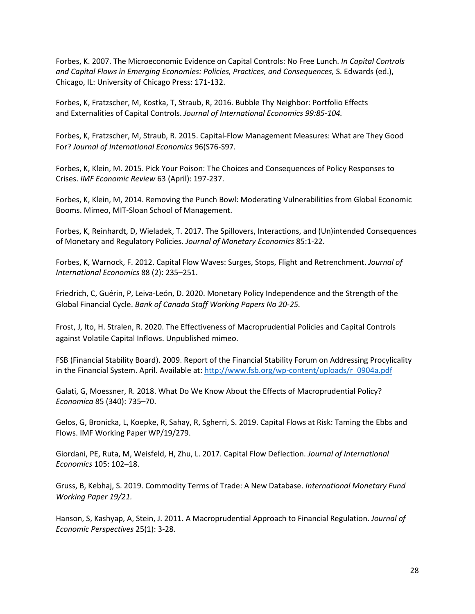Forbes, K. 2007. The Microeconomic Evidence on Capital Controls: No Free Lunch. *In Capital Controls and Capital Flows in Emerging Economies: Policies, Practices, and Consequences,* S. Edwards (ed.), Chicago, IL: University of Chicago Press: 171-132.

Forbes, K, Fratzscher, M, Kostka, T, Straub, R, 2016. Bubble Thy Neighbor: Portfolio Effects and Externalities of Capital Controls. *Journal of International Economics 99:85-104.*

Forbes, K, Fratzscher, M, Straub, R. 2015. Capital-Flow Management Measures: What are They Good For? *Journal of International Economics* 96(S76-S97.

Forbes, K, Klein, M. 2015. Pick Your Poison: The Choices and Consequences of Policy Responses to Crises. *IMF Economic Review* 63 (April): 197-237.

Forbes, K, Klein, M, 2014. Removing the Punch Bowl: Moderating Vulnerabilities from Global Economic Booms. Mimeo, MIT-Sloan School of Management.

Forbes, K, Reinhardt, D, Wieladek, T. 2017. The Spillovers, Interactions, and (Un)intended Consequences of Monetary and Regulatory Policies. *Journal of Monetary Economics* 85:1-22.

Forbes, K, Warnock, F. 2012. Capital Flow Waves: Surges, Stops, Flight and Retrenchment. *Journal of International Economics* 88 (2): 235–251.

Friedrich, C, Guérin, P, Leiva-León, D. 2020. Monetary Policy Independence and the Strength of the Global Financial Cycle. *Bank of Canada Staff Working Papers No 20-25.*

Frost, J, Ito, H. Stralen, R. 2020. The Effectiveness of Macroprudential Policies and Capital Controls against Volatile Capital Inflows. Unpublished mimeo.

FSB (Financial Stability Board). 2009. Report of the Financial Stability Forum on Addressing Procylicality in the Financial System. April. Available at: http://www.fsb.org/wp-content/uploads/r\_0904a.pdf

Galati, G, Moessner, R. 2018. What Do We Know About the Effects of Macroprudential Policy? *Economica* 85 (340): 735–70.

Gelos, G, Bronicka, L, Koepke, R, Sahay, R, Sgherri, S. 2019. Capital Flows at Risk: Taming the Ebbs and Flows. IMF Working Paper WP/19/279.

Giordani, PE, Ruta, M, Weisfeld, H, Zhu, L. 2017. Capital Flow Deflection. *Journal of International Economics* 105: 102–18.

Gruss, B, Kebhaj, S. 2019. Commodity Terms of Trade: A New Database. *International Monetary Fund Working Paper 19/21.*

Hanson, S, Kashyap, A, Stein, J. 2011. A Macroprudential Approach to Financial Regulation. *Journal of Economic Perspectives* 25(1): 3-28.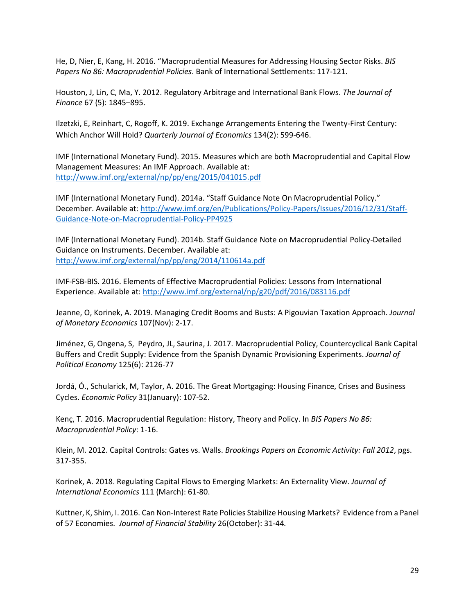He, D, Nier, E, Kang, H. 2016. "Macroprudential Measures for Addressing Housing Sector Risks. *BIS Papers No 86: Macroprudential Policies*. Bank of International Settlements: 117-121.

Houston, J, Lin, C, Ma, Y. 2012. Regulatory Arbitrage and International Bank Flows. *The Journal of Finance* 67 (5): 1845–895.

Ilzetzki, E, Reinhart, C, Rogoff, K. 2019. Exchange Arrangements Entering the Twenty-First Century: Which Anchor Will Hold? *Quarterly Journal of Economics* 134(2): 599-646.

IMF (International Monetary Fund). 2015. Measures which are both Macroprudential and Capital Flow Management Measures: An IMF Approach. Available at: <http://www.imf.org/external/np/pp/eng/2015/041015.pdf>

IMF (International Monetary Fund). 2014a. "Staff Guidance Note On Macroprudential Policy." December. Available at: [http://www.imf.org/en/Publications/Policy-Papers/Issues/2016/12/31/Staff-](http://www.imf.org/en/Publications/Policy-Papers/Issues/2016/12/31/Staff-Guidance-Note-on-Macroprudential-Policy-PP4925)[Guidance-Note-on-Macroprudential-Policy-PP4925](http://www.imf.org/en/Publications/Policy-Papers/Issues/2016/12/31/Staff-Guidance-Note-on-Macroprudential-Policy-PP4925)

IMF (International Monetary Fund). 2014b. Staff Guidance Note on Macroprudential Policy-Detailed Guidance on Instruments. December. Available at: <http://www.imf.org/external/np/pp/eng/2014/110614a.pdf>

IMF-FSB-BIS. 2016. Elements of Effective Macroprudential Policies: Lessons from International Experience. Available at:<http://www.imf.org/external/np/g20/pdf/2016/083116.pdf>

Jeanne, O, Korinek, A. 2019. Managing Credit Booms and Busts: A Pigouvian Taxation Approach. *Journal of Monetary Economics* 107(Nov): 2-17.

Jiménez, G, Ongena, S, Peydro, JL, Saurina, J. 2017. Macroprudential Policy, Countercyclical Bank Capital Buffers and Credit Supply: Evidence from the Spanish Dynamic Provisioning Experiments. *Journal of Political Economy* 125(6): 2126-77

Jordá, Ó., Schularick, M, Taylor, A. 2016. The Great Mortgaging: Housing Finance, Crises and Business Cycles. *Economic Policy* 31(January): 107-52.

Kenç, T. 2016. Macroprudential Regulation: History, Theory and Policy. In *BIS Papers No 86: Macroprudential Policy*: 1-16.

Klein, M. 2012. Capital Controls: Gates vs. Walls. *Brookings Papers on Economic Activity: Fall 2012*, pgs. 317-355.

Korinek, A. 2018. Regulating Capital Flows to Emerging Markets: An Externality View. *Journal of International Economics* 111 (March): 61-80.

Kuttner, K, Shim, I. 2016. Can Non-Interest Rate Policies Stabilize Housing Markets? Evidence from a Panel of 57 Economies. *Journal of Financial Stability* 26(October): 31-44*.*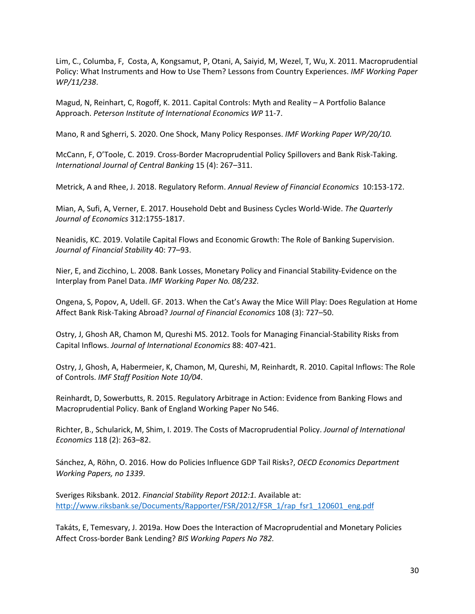Lim, C., Columba, F, Costa, A, Kongsamut, P, Otani, A, Saiyid, M, Wezel, T, Wu, X. 2011. Macroprudential Policy: What Instruments and How to Use Them? Lessons from Country Experiences. *IMF Working Paper WP/11/238*.

Magud, N, Reinhart, C, Rogoff, K. 2011. Capital Controls: Myth and Reality – A Portfolio Balance Approach. *Peterson Institute of International Economics WP* 11-7.

Mano, R and Sgherri, S. 2020. One Shock, Many Policy Responses. *IMF Working Paper WP/20/10.*

McCann, F, O'Toole, C. 2019. Cross-Border Macroprudential Policy Spillovers and Bank Risk-Taking. *International Journal of Central Banking* 15 (4): 267–311.

Metrick, A and Rhee, J. 2018. Regulatory Reform. *Annual Review of Financial Economics* 10:153-172.

Mian, A, Sufi, A, Verner, E. 2017. Household Debt and Business Cycles World-Wide. *The Quarterly Journal of Economics* 312:1755-1817.

Neanidis, KC. 2019. Volatile Capital Flows and Economic Growth: The Role of Banking Supervision. *Journal of Financial Stability* 40: 77–93.

Nier, E, and Zicchino, L. 2008. Bank Losses, Monetary Policy and Financial Stability-Evidence on the Interplay from Panel Data. *IMF Working Paper No. 08/232.*

Ongena, S, Popov, A, Udell. GF. 2013. When the Cat's Away the Mice Will Play: Does Regulation at Home Affect Bank Risk-Taking Abroad? *Journal of Financial Economics* 108 (3): 727–50.

Ostry, J, Ghosh AR, Chamon M, Qureshi MS. 2012. Tools for Managing Financial-Stability Risks from Capital Inflows. *Journal of International Economics* 88: 407-421.

Ostry, J, Ghosh, A, Habermeier, K, Chamon, M, Qureshi, M, Reinhardt, R. 2010. Capital Inflows: The Role of Controls. *IMF Staff Position Note 10/04*.

Reinhardt, D, Sowerbutts, R. 2015. Regulatory Arbitrage in Action: Evidence from Banking Flows and Macroprudential Policy. Bank of England Working Paper No 546.

Richter, B., Schularick, M, Shim, I. 2019. The Costs of Macroprudential Policy. *Journal of International Economics* 118 (2): 263–82.

Sánchez, A, Röhn, O. 2016. How do Policies Influence GDP Tail Risks?, *OECD Economics Department Working Papers, no 1339*.

Sveriges Riksbank. 2012. *Financial Stability Report 2012:1.* Available at: [http://www.riksbank.se/Documents/Rapporter/FSR/2012/FSR\\_1/rap\\_fsr1\\_120601\\_eng.pdf](http://www.riksbank.se/Documents/Rapporter/FSR/2012/FSR_1/rap_fsr1_120601_eng.pdf)

Takáts, E, Temesvary, J. 2019a. How Does the Interaction of Macroprudential and Monetary Policies Affect Cross-border Bank Lending? *BIS Working Papers No 782.*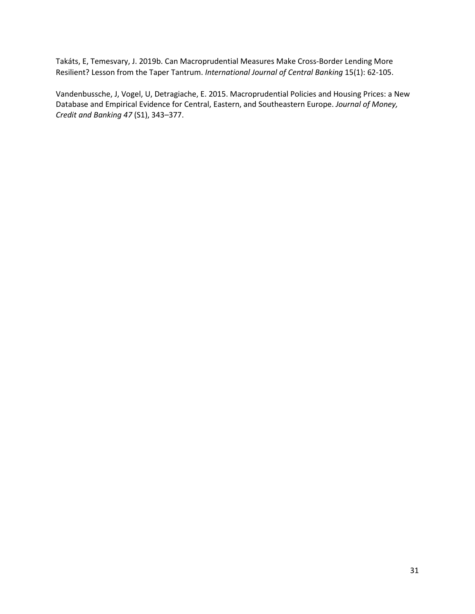Takáts, E, Temesvary, J. 2019b. Can Macroprudential Measures Make Cross-Border Lending More Resilient? Lesson from the Taper Tantrum. *International Journal of Central Banking* 15(1): 62-105.

Vandenbussche, J, Vogel, U, Detragiache, E. 2015. Macroprudential Policies and Housing Prices: a New Database and Empirical Evidence for Central, Eastern, and Southeastern Europe. *Journal of Money, Credit and Banking 47* (S1), 343–377.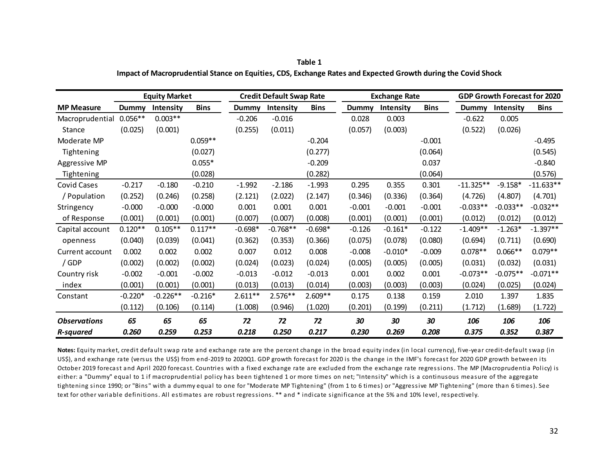| Table 1                                                                                                      |  |
|--------------------------------------------------------------------------------------------------------------|--|
| Impact of Macroprudential Stance on Equities, CDS, Exchange Rates and Expected Growth during the Covid Shock |  |

|                     | <b>Equity Market</b> |                  |             | <b>Credit Default Swap Rate</b> |                  |             | <b>Exchange Rate</b> |                  |             |             | GDP Growth Forecast for 2020 |             |  |
|---------------------|----------------------|------------------|-------------|---------------------------------|------------------|-------------|----------------------|------------------|-------------|-------------|------------------------------|-------------|--|
| <b>MP Measure</b>   | Dummy                | <b>Intensity</b> | <b>Bins</b> | Dummy                           | <b>Intensity</b> | <b>Bins</b> | <b>Dummy</b>         | <b>Intensity</b> | <b>Bins</b> | Dummy       | <b>Intensity</b>             | <b>Bins</b> |  |
| Macroprudential     | $0.056**$            | $0.003**$        |             | $-0.206$                        | $-0.016$         |             | 0.028                | 0.003            |             | $-0.622$    | 0.005                        |             |  |
| Stance              | (0.025)              | (0.001)          |             | (0.255)                         | (0.011)          |             | (0.057)              | (0.003)          |             | (0.522)     | (0.026)                      |             |  |
| Moderate MP         |                      |                  | $0.059**$   |                                 |                  | $-0.204$    |                      |                  | $-0.001$    |             |                              | $-0.495$    |  |
| Tightening          |                      |                  | (0.027)     |                                 |                  | (0.277)     |                      |                  | (0.064)     |             |                              | (0.545)     |  |
| Aggressive MP       |                      |                  | $0.055*$    |                                 |                  | $-0.209$    |                      |                  | 0.037       |             |                              | $-0.840$    |  |
| Tightening          |                      |                  | (0.028)     |                                 |                  | (0.282)     |                      |                  | (0.064)     |             |                              | (0.576)     |  |
| <b>Covid Cases</b>  | $-0.217$             | $-0.180$         | $-0.210$    | $-1.992$                        | $-2.186$         | $-1.993$    | 0.295                | 0.355            | 0.301       | $-11.325**$ | $-9.158*$                    | $-11.633**$ |  |
| / Population        | (0.252)              | (0.246)          | (0.258)     | (2.121)                         | (2.022)          | (2.147)     | (0.346)              | (0.336)          | (0.364)     | (4.726)     | (4.807)                      | (4.701)     |  |
| Stringency          | $-0.000$             | $-0.000$         | $-0.000$    | 0.001                           | 0.001            | 0.001       | $-0.001$             | $-0.001$         | $-0.001$    | $-0.033**$  | $-0.033**$                   | $-0.032**$  |  |
| of Response         | (0.001)              | (0.001)          | (0.001)     | (0.007)                         | (0.007)          | (0.008)     | (0.001)              | (0.001)          | (0.001)     | (0.012)     | (0.012)                      | (0.012)     |  |
| Capital account     | $0.120**$            | $0.105**$        | $0.117**$   | $-0.698*$                       | $-0.768**$       | $-0.698*$   | $-0.126$             | $-0.161*$        | $-0.122$    | $-1.409**$  | $-1.263*$                    | $-1.397**$  |  |
| openness            | (0.040)              | (0.039)          | (0.041)     | (0.362)                         | (0.353)          | (0.366)     | (0.075)              | (0.078)          | (0.080)     | (0.694)     | (0.711)                      | (0.690)     |  |
| Current account     | 0.002                | 0.002            | 0.002       | 0.007                           | 0.012            | 0.008       | $-0.008$             | $-0.010*$        | $-0.009$    | $0.078**$   | $0.066**$                    | $0.079**$   |  |
| / GDP               | (0.002)              | (0.002)          | (0.002)     | (0.024)                         | (0.023)          | (0.024)     | (0.005)              | (0.005)          | (0.005)     | (0.031)     | (0.032)                      | (0.031)     |  |
| Country risk        | $-0.002$             | $-0.001$         | $-0.002$    | $-0.013$                        | $-0.012$         | $-0.013$    | 0.001                | 0.002            | 0.001       | $-0.073**$  | $-0.075**$                   | $-0.071**$  |  |
| index               | (0.001)              | (0.001)          | (0.001)     | (0.013)                         | (0.013)          | (0.014)     | (0.003)              | (0.003)          | (0.003)     | (0.024)     | (0.025)                      | (0.024)     |  |
| Constant            | $-0.220*$            | $-0.226**$       | $-0.216*$   | $2.611**$                       | $2.576**$        | $2.609**$   | 0.175                | 0.138            | 0.159       | 2.010       | 1.397                        | 1.835       |  |
|                     | (0.112)              | (0.106)          | (0.114)     | (1.008)                         | (0.946)          | (1.020)     | (0.201)              | (0.199)          | (0.211)     | (1.712)     | (1.689)                      | (1.722)     |  |
| <b>Observations</b> | 65                   | 65               | 65          | 72                              | 72               | 72          | 30                   | 30               | 30          | 106         | 106                          | 106         |  |
| <b>R-squared</b>    | 0.260                | 0.259            | 0.253       | 0.218                           | 0.250            | 0.217       | 0.230                | 0.269            | 0.208       | 0.375       | 0.352                        | 0.387       |  |

**Notes:** Equity market, credit default swap rate and exchange rate are the percent change in the broad equity index (in local currency), five-year credit-default swap (in US\$), and exchange rate (versus the US\$) from end-2019 to 2020Q1. GDP growth forecast for 2020 is the change in the IMF's forecast for 2020 GDP growth between its October 2019 forecast and April 2020 forecast. Countries with a fixed exchange rate are excluded from the exchange rate regressions. The MP (Macroprudentia Policy) is either: a "Dummy" equal to 1 if macroprudential policy has been tightened 1 or more times on net; "Intensity" which is a continusous measure of the aggregate tightening since 1990; or "Bins" with a dummy equal to one for "Moderate MP Tightening" (from 1 to 6 times) or "Aggressive MP Tightening" (more than 6 times). See text for other variable definitions. All estimates are robust regressions. \*\* and \* indicate significance at the 5% and 10% level, respectively.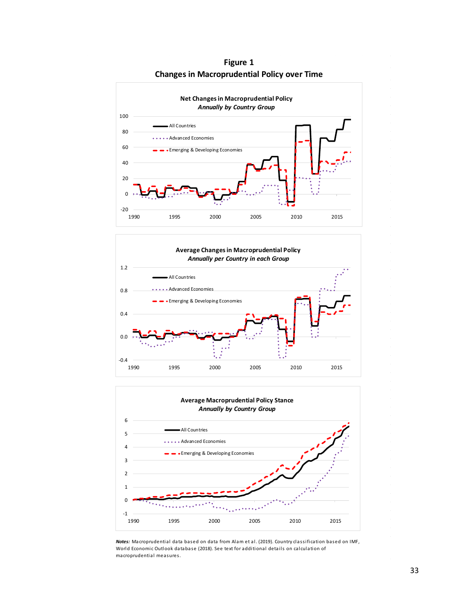

**Figure 1 Changes in Macroprudential Policy over Time**





*Notes:* Macroprudential data based on data from Alam et al. (2019). Country classification based on IMF, World Economic Outlook database (2018). See text for additional details on calculation of macroprudential measures.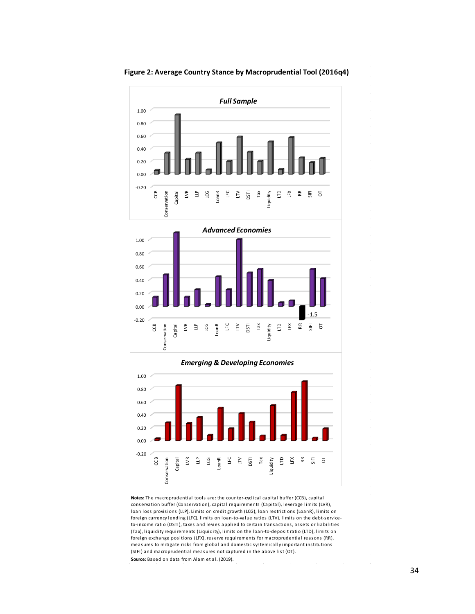

**Figure 2: Average Country Stance by Macroprudential Tool (2016q4)**

**Notes:** The macroprudential tools are: the counter-cyclical capital buffer (CCB), capital conservation buffer (Conservation), capital requirements (Capital), leverage limits (LVR), loan loss provisions (LLP), Limits on credit growth (LCG), loan restrictions (LoanR), limits on foreign currency lending (LFC), limits on loan-to-value ratios (LTV), limits on the debt-serviceto-income ratio (DSTI), taxes and levies applied to certain transactions, assets or liabilities (Tax), liquidity requirements (Liquidity), limits on the loan-to-deposit ratio (LTD), limits on foreign exchange positions (LFX), reserve requirements for macroprudential reasons (RR), measures to mitigate risks from global and domestic systemically important institutions (SIFI) and macroprudential measures not captured in the above list (OT). **Source:** Based on data from Alam et al. (2019).  $\sim$ 

 $\bar{z}$